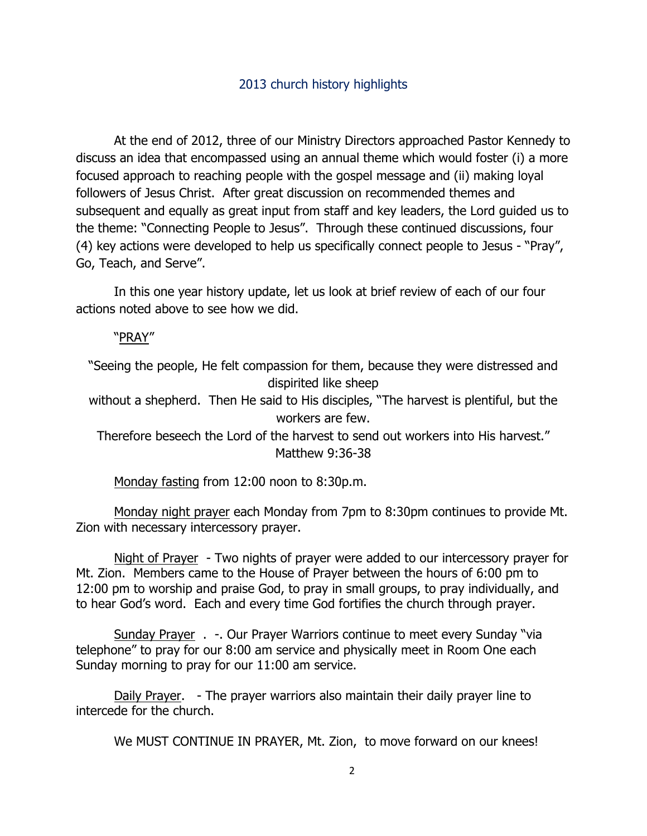## 2013 church history highlights

At the end of 2012, three of our Ministry Directors approached Pastor Kennedy to discuss an idea that encompassed using an annual theme which would foster (i) a more focused approach to reaching people with the gospel message and (ii) making loyal followers of Jesus Christ. After great discussion on recommended themes and subsequent and equally as great input from staff and key leaders, the Lord guided us to the theme: "Connecting People to Jesus". Through these continued discussions, four (4) key actions were developed to help us specifically connect people to Jesus - "Pray", Go, Teach, and Serve".

In this one year history update, let us look at brief review of each of our four actions noted above to see how we did.

"PRAY"

"Seeing the people, He felt compassion for them, because they were distressed and dispirited like sheep

without a shepherd. Then He said to His disciples, "The harvest is plentiful, but the workers are few.

Therefore beseech the Lord of the harvest to send out workers into His harvest." Matthew 9:36-38

Monday fasting from 12:00 noon to 8:30p.m.

Monday night prayer each Monday from 7pm to 8:30pm continues to provide Mt. Zion with necessary intercessory prayer.

Night of Prayer - Two nights of prayer were added to our intercessory prayer for Mt. Zion. Members came to the House of Prayer between the hours of 6:00 pm to 12:00 pm to worship and praise God, to pray in small groups, to pray individually, and to hear God's word. Each and every time God fortifies the church through prayer.

Sunday Prayer . -. Our Prayer Warriors continue to meet every Sunday "via telephone" to pray for our 8:00 am service and physically meet in Room One each Sunday morning to pray for our 11:00 am service.

Daily Prayer. - The prayer warriors also maintain their daily prayer line to intercede for the church.

We MUST CONTINUE IN PRAYER, Mt. Zion, to move forward on our knees!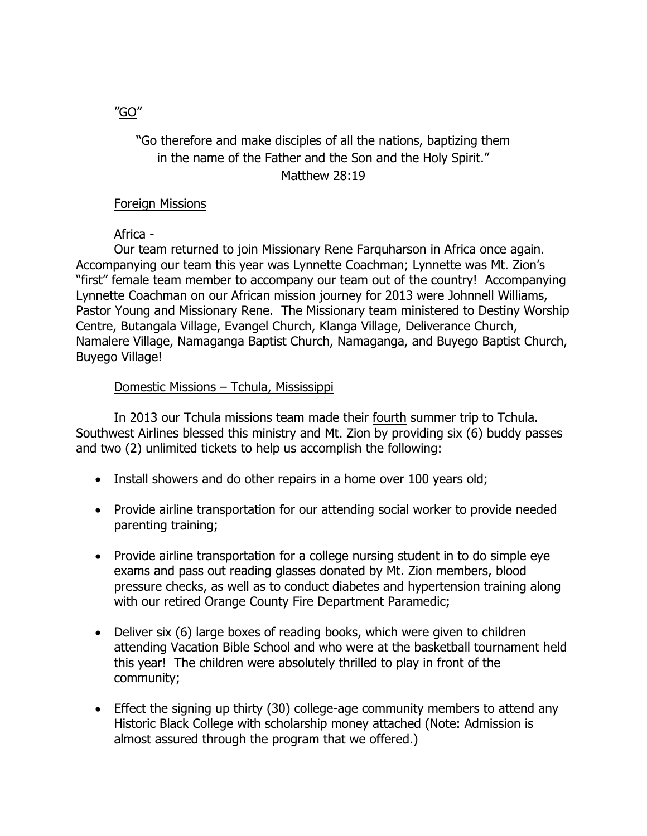# "Go therefore and make disciples of all the nations, baptizing them in the name of the Father and the Son and the Holy Spirit." Matthew 28:19

### Foreign Missions

Africa -

Our team returned to join Missionary Rene Farquharson in Africa once again. Accompanying our team this year was Lynnette Coachman; Lynnette was Mt. Zion's "first" female team member to accompany our team out of the country! Accompanying Lynnette Coachman on our African mission journey for 2013 were Johnnell Williams, Pastor Young and Missionary Rene. The Missionary team ministered to Destiny Worship Centre, Butangala Village, Evangel Church, Klanga Village, Deliverance Church, Namalere Village, Namaganga Baptist Church, Namaganga, and Buyego Baptist Church, Buyego Village!

### Domestic Missions – Tchula, Mississippi

In 2013 our Tchula missions team made their fourth summer trip to Tchula. Southwest Airlines blessed this ministry and Mt. Zion by providing six (6) buddy passes and two (2) unlimited tickets to help us accomplish the following:

- Install showers and do other repairs in a home over 100 years old;
- Provide airline transportation for our attending social worker to provide needed parenting training;
- Provide airline transportation for a college nursing student in to do simple eye exams and pass out reading glasses donated by Mt. Zion members, blood pressure checks, as well as to conduct diabetes and hypertension training along with our retired Orange County Fire Department Paramedic;
- Deliver six (6) large boxes of reading books, which were given to children attending Vacation Bible School and who were at the basketball tournament held this year! The children were absolutely thrilled to play in front of the community;
- Effect the signing up thirty (30) college-age community members to attend any Historic Black College with scholarship money attached (Note: Admission is almost assured through the program that we offered.)

"GO"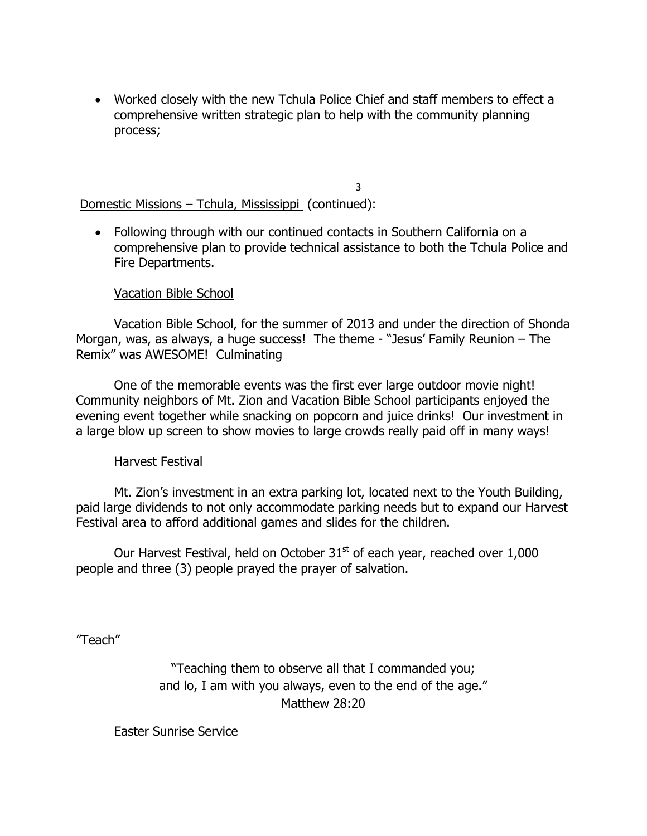• Worked closely with the new Tchula Police Chief and staff members to effect a comprehensive written strategic plan to help with the community planning process;

3

Domestic Missions – Tchula, Mississippi (continued):

• Following through with our continued contacts in Southern California on a comprehensive plan to provide technical assistance to both the Tchula Police and Fire Departments.

## Vacation Bible School

Vacation Bible School, for the summer of 2013 and under the direction of Shonda Morgan, was, as always, a huge success! The theme - "Jesus' Family Reunion – The Remix" was AWESOME! Culminating

One of the memorable events was the first ever large outdoor movie night! Community neighbors of Mt. Zion and Vacation Bible School participants enjoyed the evening event together while snacking on popcorn and juice drinks! Our investment in a large blow up screen to show movies to large crowds really paid off in many ways!

### Harvest Festival

Mt. Zion's investment in an extra parking lot, located next to the Youth Building, paid large dividends to not only accommodate parking needs but to expand our Harvest Festival area to afford additional games and slides for the children.

Our Harvest Festival, held on October  $31<sup>st</sup>$  of each year, reached over 1,000 people and three (3) people prayed the prayer of salvation.

"Teach"

"Teaching them to observe all that I commanded you; and lo, I am with you always, even to the end of the age." Matthew 28:20

Easter Sunrise Service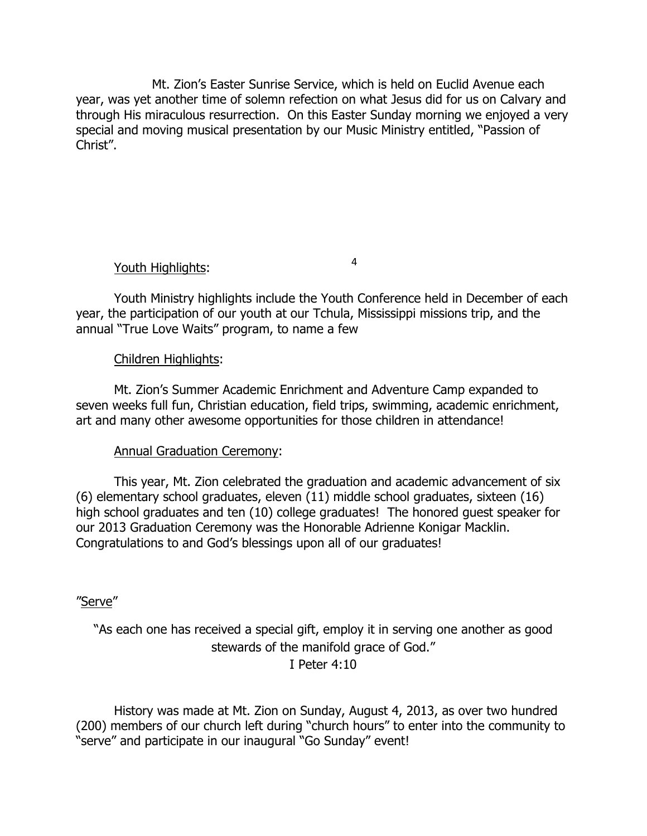Mt. Zion's Easter Sunrise Service, which is held on Euclid Avenue each year, was yet another time of solemn refection on what Jesus did for us on Calvary and through His miraculous resurrection. On this Easter Sunday morning we enjoyed a very special and moving musical presentation by our Music Ministry entitled, "Passion of Christ".

## Youth Highlights:

Youth Ministry highlights include the Youth Conference held in December of each year, the participation of our youth at our Tchula, Mississippi missions trip, and the annual "True Love Waits" program, to name a few

4

## Children Highlights:

Mt. Zion's Summer Academic Enrichment and Adventure Camp expanded to seven weeks full fun, Christian education, field trips, swimming, academic enrichment, art and many other awesome opportunities for those children in attendance!

## Annual Graduation Ceremony:

This year, Mt. Zion celebrated the graduation and academic advancement of six (6) elementary school graduates, eleven (11) middle school graduates, sixteen (16) high school graduates and ten (10) college graduates! The honored guest speaker for our 2013 Graduation Ceremony was the Honorable Adrienne Konigar Macklin. Congratulations to and God's blessings upon all of our graduates!

### "Serve"

"As each one has received a special gift, employ it in serving one another as good stewards of the manifold grace of God."  $I$  Peter 4:10

History was made at Mt. Zion on Sunday, August 4, 2013, as over two hundred (200) members of our church left during "church hours" to enter into the community to "serve" and participate in our inaugural "Go Sunday" event!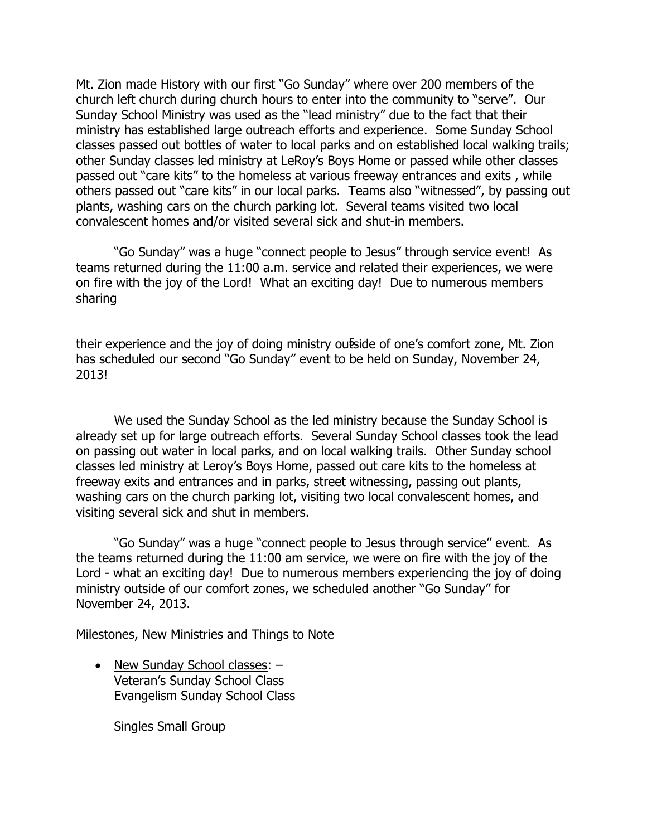Mt. Zion made History with our first "Go Sunday" where over 200 members of the church left church during church hours to enter into the community to "serve". Our Sunday School Ministry was used as the "lead ministry" due to the fact that their ministry has established large outreach efforts and experience. Some Sunday School classes passed out bottles of water to local parks and on established local walking trails; other Sunday classes led ministry at LeRoy's Boys Home or passed while other classes passed out "care kits" to the homeless at various freeway entrances and exits , while others passed out "care kits" in our local parks. Teams also "witnessed", by passing out plants, washing cars on the church parking lot. Several teams visited two local convalescent homes and/or visited several sick and shut-in members.

"Go Sunday" was a huge "connect people to Jesus" through service event! As teams returned during the 11:00 a.m. service and related their experiences, we were on fire with the joy of the Lord! What an exciting day! Due to numerous members sharing

their experience and the joy of doing ministry outside of one's comfort zone, Mt. Zion has scheduled our second "Go Sunday" event to be held on Sunday, November 24, 2013!

We used the Sunday School as the led ministry because the Sunday School is already set up for large outreach efforts. Several Sunday School classes took the lead on passing out water in local parks, and on local walking trails. Other Sunday school classes led ministry at Leroy's Boys Home, passed out care kits to the homeless at freeway exits and entrances and in parks, street witnessing, passing out plants, washing cars on the church parking lot, visiting two local convalescent homes, and visiting several sick and shut in members.

"Go Sunday" was a huge "connect people to Jesus through service" event. As the teams returned during the 11:00 am service, we were on fire with the joy of the Lord - what an exciting day! Due to numerous members experiencing the joy of doing ministry outside of our comfort zones, we scheduled another "Go Sunday" for November 24, 2013.

#### Milestones, New Ministries and Things to Note

• New Sunday School classes: -Veteran's Sunday School Class Evangelism Sunday School Class

Singles Small Group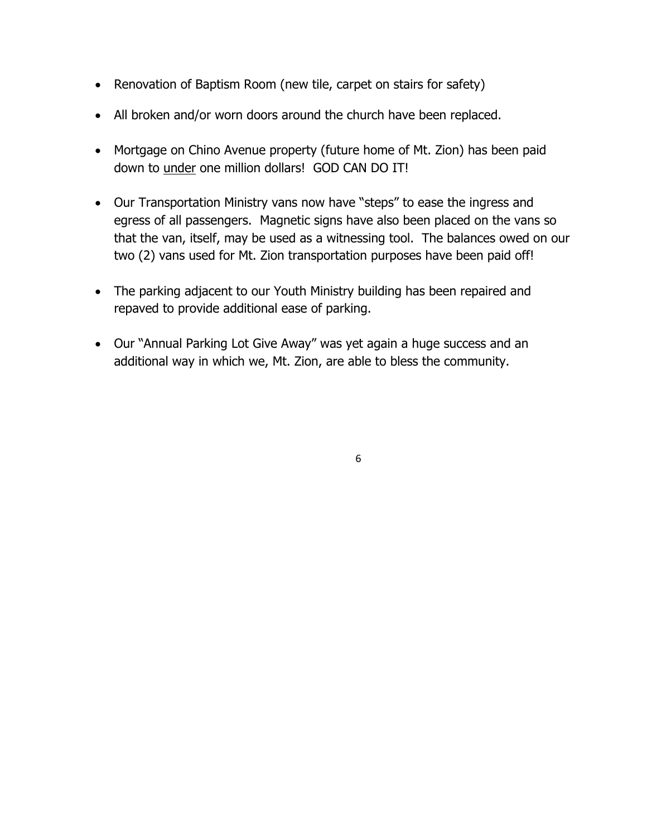- Renovation of Baptism Room (new tile, carpet on stairs for safety)
- All broken and/or worn doors around the church have been replaced.
- Mortgage on Chino Avenue property (future home of Mt. Zion) has been paid down to under one million dollars! GOD CAN DO IT!
- Our Transportation Ministry vans now have "steps" to ease the ingress and egress of all passengers. Magnetic signs have also been placed on the vans so that the van, itself, may be used as a witnessing tool. The balances owed on our two (2) vans used for Mt. Zion transportation purposes have been paid off!
- The parking adjacent to our Youth Ministry building has been repaired and repaved to provide additional ease of parking.
- Our "Annual Parking Lot Give Away" was yet again a huge success and an additional way in which we, Mt. Zion, are able to bless the community.

6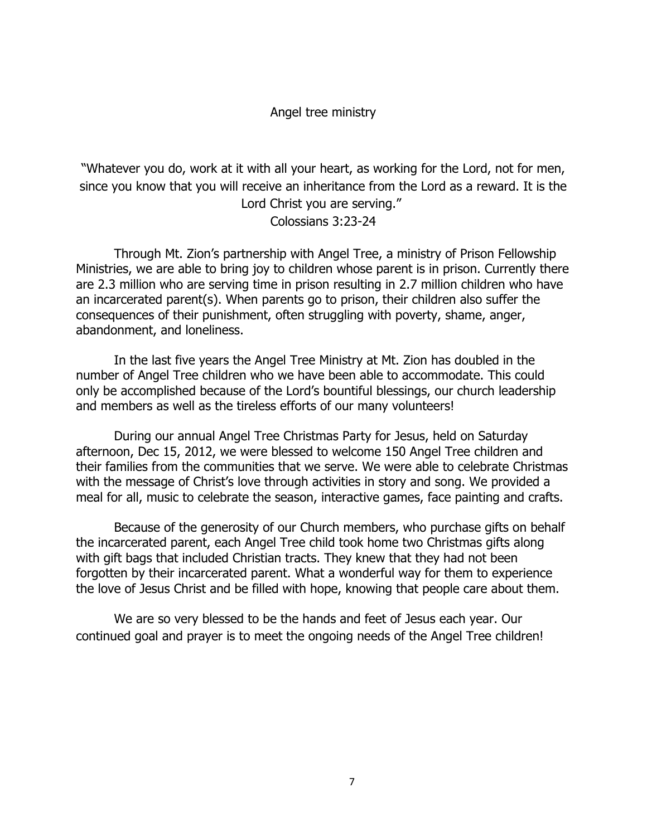### Angel tree ministry

"Whatever you do, work at it with all your heart, as working for the Lord, not for men, since you know that you will receive an inheritance from the Lord as a reward. It is the Lord Christ you are serving." Colossians 3:23-24

Through Mt. Zion's partnership with Angel Tree, a ministry of Prison Fellowship Ministries, we are able to bring joy to children whose parent is in prison. Currently there are 2.3 million who are serving time in prison resulting in 2.7 million children who have an incarcerated parent(s). When parents go to prison, their children also suffer the consequences of their punishment, often struggling with poverty, shame, anger, abandonment, and loneliness.

In the last five years the Angel Tree Ministry at Mt. Zion has doubled in the number of Angel Tree children who we have been able to accommodate. This could only be accomplished because of the Lord's bountiful blessings, our church leadership and members as well as the tireless efforts of our many volunteers!

During our annual Angel Tree Christmas Party for Jesus, held on Saturday afternoon, Dec 15, 2012, we were blessed to welcome 150 Angel Tree children and their families from the communities that we serve. We were able to celebrate Christmas with the message of Christ's love through activities in story and song. We provided a meal for all, music to celebrate the season, interactive games, face painting and crafts.

Because of the generosity of our Church members, who purchase gifts on behalf the incarcerated parent, each Angel Tree child took home two Christmas gifts along with gift bags that included Christian tracts. They knew that they had not been forgotten by their incarcerated parent. What a wonderful way for them to experience the love of Jesus Christ and be filled with hope, knowing that people care about them.

We are so very blessed to be the hands and feet of Jesus each year. Our continued goal and prayer is to meet the ongoing needs of the Angel Tree children!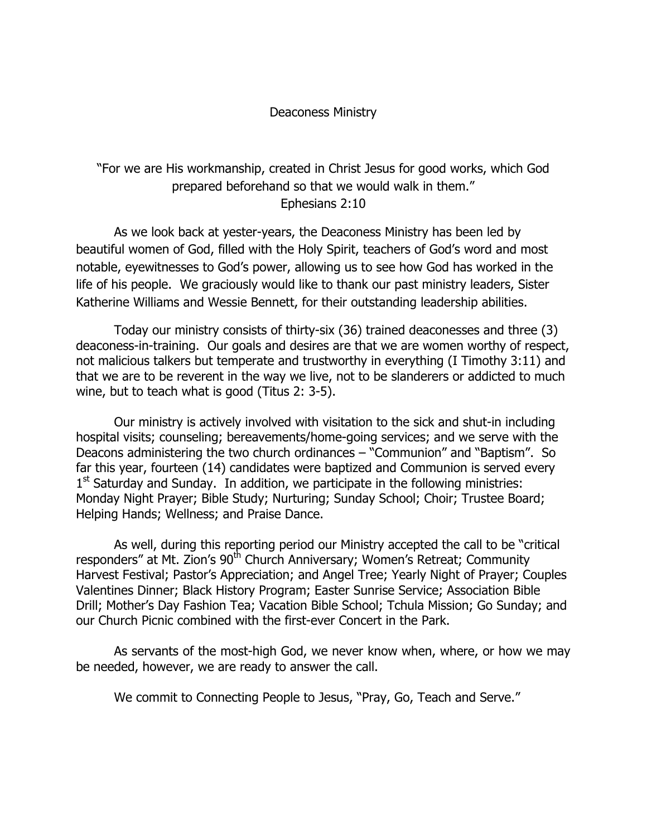### Deaconess Ministry

# "For we are His workmanship, created in Christ Jesus for good works, which God prepared beforehand so that we would walk in them." Ephesians 2:10

As we look back at yester-years, the Deaconess Ministry has been led by beautiful women of God, filled with the Holy Spirit, teachers of God's word and most notable, eyewitnesses to God's power, allowing us to see how God has worked in the life of his people. We graciously would like to thank our past ministry leaders, Sister Katherine Williams and Wessie Bennett, for their outstanding leadership abilities.

Today our ministry consists of thirty-six (36) trained deaconesses and three (3) deaconess-in-training. Our goals and desires are that we are women worthy of respect, not malicious talkers but temperate and trustworthy in everything (I Timothy 3:11) and that we are to be reverent in the way we live, not to be slanderers or addicted to much wine, but to teach what is good (Titus 2: 3-5).

Our ministry is actively involved with visitation to the sick and shut-in including hospital visits; counseling; bereavements/home-going services; and we serve with the Deacons administering the two church ordinances – "Communion" and "Baptism". So far this year, fourteen (14) candidates were baptized and Communion is served every  $1<sup>st</sup>$  Saturday and Sunday. In addition, we participate in the following ministries: Monday Night Prayer; Bible Study; Nurturing; Sunday School; Choir; Trustee Board; Helping Hands; Wellness; and Praise Dance.

As well, during this reporting period our Ministry accepted the call to be "critical responders" at Mt. Zion's 90<sup>th</sup> Church Anniversary; Women's Retreat; Community Harvest Festival; Pastor's Appreciation; and Angel Tree; Yearly Night of Prayer; Couples Valentines Dinner; Black History Program; Easter Sunrise Service; Association Bible Drill; Mother's Day Fashion Tea; Vacation Bible School; Tchula Mission; Go Sunday; and our Church Picnic combined with the first-ever Concert in the Park.

As servants of the most-high God, we never know when, where, or how we may be needed, however, we are ready to answer the call.

We commit to Connecting People to Jesus, "Pray, Go, Teach and Serve."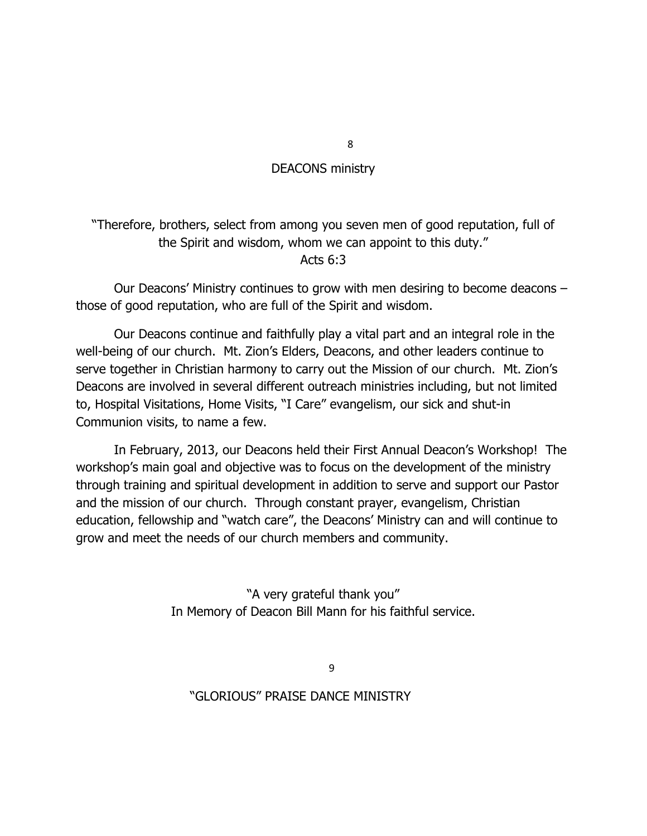### DEACONS ministry

## "Therefore, brothers, select from among you seven men of good reputation, full of the Spirit and wisdom, whom we can appoint to this duty." Acts 6:3

Our Deacons' Ministry continues to grow with men desiring to become deacons – those of good reputation, who are full of the Spirit and wisdom.

Our Deacons continue and faithfully play a vital part and an integral role in the well-being of our church. Mt. Zion's Elders, Deacons, and other leaders continue to serve together in Christian harmony to carry out the Mission of our church. Mt. Zion's Deacons are involved in several different outreach ministries including, but not limited to, Hospital Visitations, Home Visits, "I Care" evangelism, our sick and shut-in Communion visits, to name a few.

In February, 2013, our Deacons held their First Annual Deacon's Workshop! The workshop's main goal and objective was to focus on the development of the ministry through training and spiritual development in addition to serve and support our Pastor and the mission of our church. Through constant prayer, evangelism, Christian education, fellowship and "watch care", the Deacons' Ministry can and will continue to grow and meet the needs of our church members and community.

> "A very grateful thank you" In Memory of Deacon Bill Mann for his faithful service.

> > 9

### "GLORIOUS" PRAISE DANCE MINISTRY

8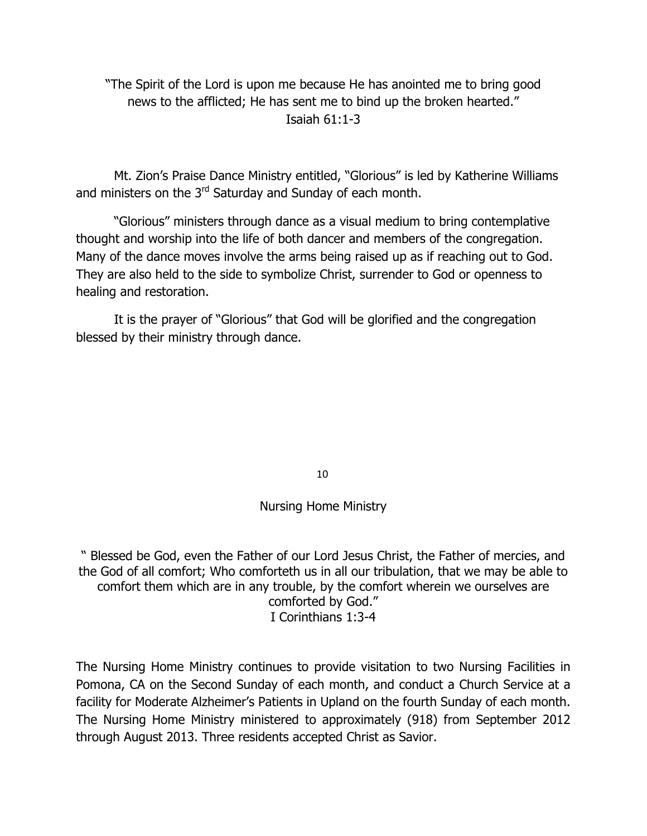"The Spirit of the Lord is upon me because He has anointed me to bring good news to the afflicted; He has sent me to bind up the broken hearted." Isaiah  $61 \cdot 1 - 3$ 

Mt. Zion's Praise Dance Ministry entitled, "Glorious" is led by Katherine Williams and ministers on the  $3<sup>rd</sup>$  Saturday and Sunday of each month.

"Glorious" ministers through dance as a visual medium to bring contemplative thought and worship into the life of both dancer and members of the congregation. Many of the dance moves involve the arms being raised up as if reaching out to God. They are also held to the side to symbolize Christ, surrender to God or openness to healing and restoration.

It is the prayer of "Glorious" that God will be glorified and the congregation blessed by their ministry through dance.

10

### Nursing Home Ministry

" Blessed be God, even the Father of our Lord Jesus Christ, the Father of mercies, and the God of all comfort; Who comforteth us in all our tribulation, that we may be able to comfort them which are in any trouble, by the comfort wherein we ourselves are comforted by God." I Corinthians 1:3-4

The Nursing Home Ministry continues to provide visitation to two Nursing Facilities in Pomona, CA on the Second Sunday of each month, and conduct a Church Service at a facility for Moderate Alzheimer's Patients in Upland on the fourth Sunday of each month. The Nursing Home Ministry ministered to approximately (918) from September 2012 through August 2013. Three residents accepted Christ as Savior.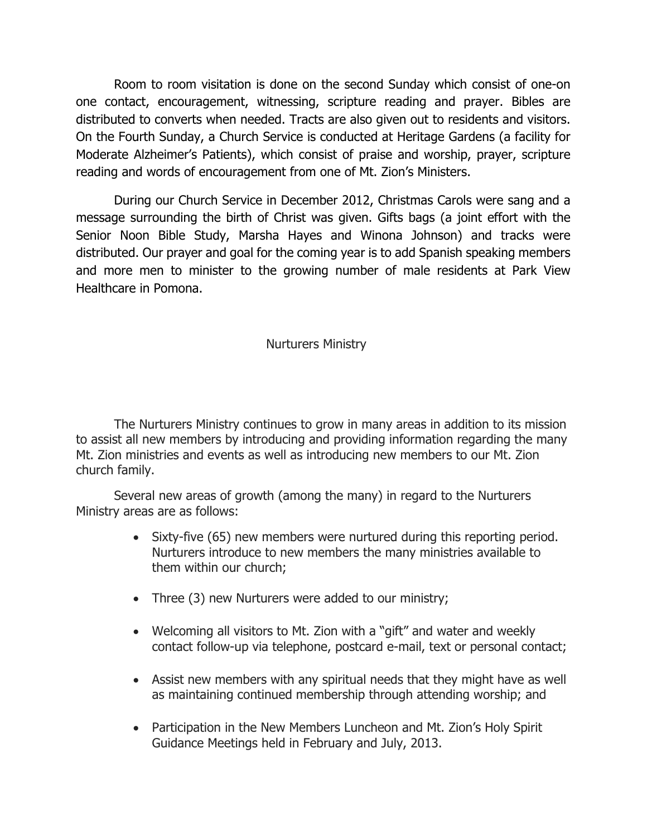Room to room visitation is done on the second Sunday which consist of one-on one contact, encouragement, witnessing, scripture reading and prayer. Bibles are distributed to converts when needed. Tracts are also given out to residents and visitors. On the Fourth Sunday, a Church Service is conducted at Heritage Gardens (a facility for Moderate Alzheimer's Patients), which consist of praise and worship, prayer, scripture reading and words of encouragement from one of Mt. Zion's Ministers.

During our Church Service in December 2012, Christmas Carols were sang and a message surrounding the birth of Christ was given. Gifts bags (a joint effort with the Senior Noon Bible Study, Marsha Hayes and Winona Johnson) and tracks were distributed. Our prayer and goal for the coming year is to add Spanish speaking members and more men to minister to the growing number of male residents at Park View Healthcare in Pomona.

## Nurturers Ministry

The Nurturers Ministry continues to grow in many areas in addition to its mission to assist all new members by introducing and providing information regarding the many Mt. Zion ministries and events as well as introducing new members to our Mt. Zion church family.

Several new areas of growth (among the many) in regard to the Nurturers Ministry areas are as follows:

- Sixty-five (65) new members were nurtured during this reporting period. Nurturers introduce to new members the many ministries available to them within our church;
- Three (3) new Nurturers were added to our ministry;
- Welcoming all visitors to Mt. Zion with a "gift" and water and weekly contact follow-up via telephone, postcard e-mail, text or personal contact;
- Assist new members with any spiritual needs that they might have as well as maintaining continued membership through attending worship; and
- Participation in the New Members Luncheon and Mt. Zion's Holy Spirit Guidance Meetings held in February and July, 2013.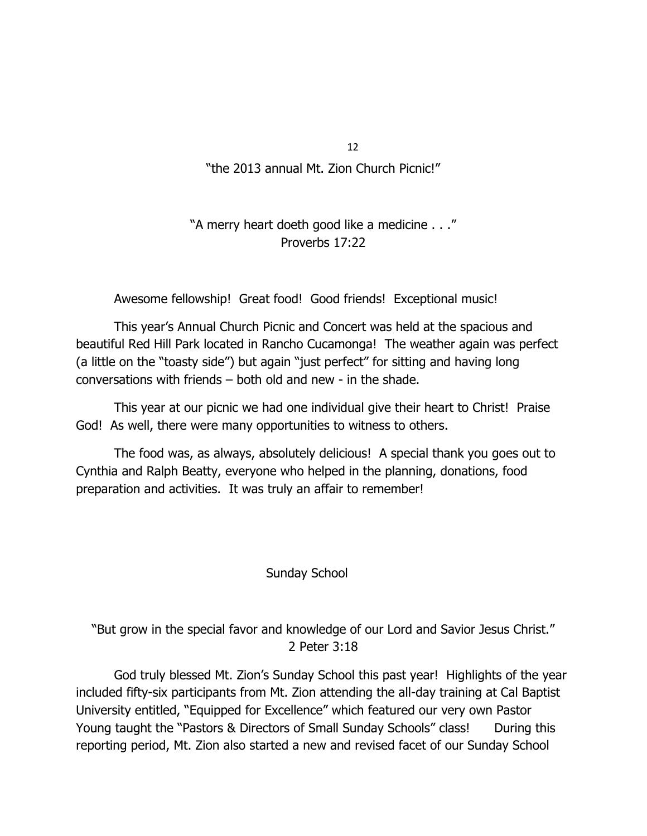12

## "the 2013 annual Mt. Zion Church Picnic!"

## "A merry heart doeth good like a medicine . . ." Proverbs 17:22

Awesome fellowship! Great food! Good friends! Exceptional music!

This year's Annual Church Picnic and Concert was held at the spacious and beautiful Red Hill Park located in Rancho Cucamonga! The weather again was perfect (a little on the "toasty side") but again "just perfect" for sitting and having long conversations with friends – both old and new - in the shade.

This year at our picnic we had one individual give their heart to Christ! Praise God! As well, there were many opportunities to witness to others.

The food was, as always, absolutely delicious! A special thank you goes out to Cynthia and Ralph Beatty, everyone who helped in the planning, donations, food preparation and activities. It was truly an affair to remember!

### Sunday School

"But grow in the special favor and knowledge of our Lord and Savior Jesus Christ." 2 Peter 3:18

God truly blessed Mt. Zion's Sunday School this past year! Highlights of the year included fifty-six participants from Mt. Zion attending the all-day training at Cal Baptist University entitled, "Equipped for Excellence" which featured our very own Pastor Young taught the "Pastors & Directors of Small Sunday Schools" class! During this reporting period, Mt. Zion also started a new and revised facet of our Sunday School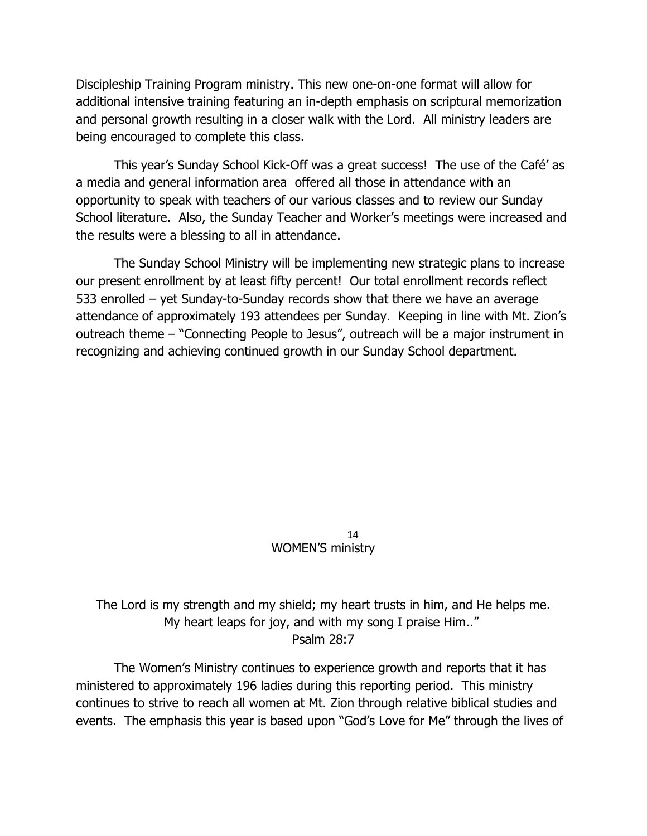Discipleship Training Program ministry. This new one-on-one format will allow for additional intensive training featuring an in-depth emphasis on scriptural memorization and personal growth resulting in a closer walk with the Lord. All ministry leaders are being encouraged to complete this class.

This year's Sunday School Kick-Off was a great success! The use of the Café' as a media and general information area offered all those in attendance with an opportunity to speak with teachers of our various classes and to review our Sunday School literature. Also, the Sunday Teacher and Worker's meetings were increased and the results were a blessing to all in attendance.

The Sunday School Ministry will be implementing new strategic plans to increase our present enrollment by at least fifty percent! Our total enrollment records reflect 533 enrolled – yet Sunday-to-Sunday records show that there we have an average attendance of approximately 193 attendees per Sunday. Keeping in line with Mt. Zion's outreach theme – "Connecting People to Jesus", outreach will be a major instrument in recognizing and achieving continued growth in our Sunday School department.

#### WOMEN'S ministry 14

The Lord is my strength and my shield; my heart trusts in him, and He helps me. My heart leaps for joy, and with my song I praise Him.." Psalm 28:7

The Women's Ministry continues to experience growth and reports that it has ministered to approximately 196 ladies during this reporting period. This ministry continues to strive to reach all women at Mt. Zion through relative biblical studies and events. The emphasis this year is based upon "God's Love for Me" through the lives of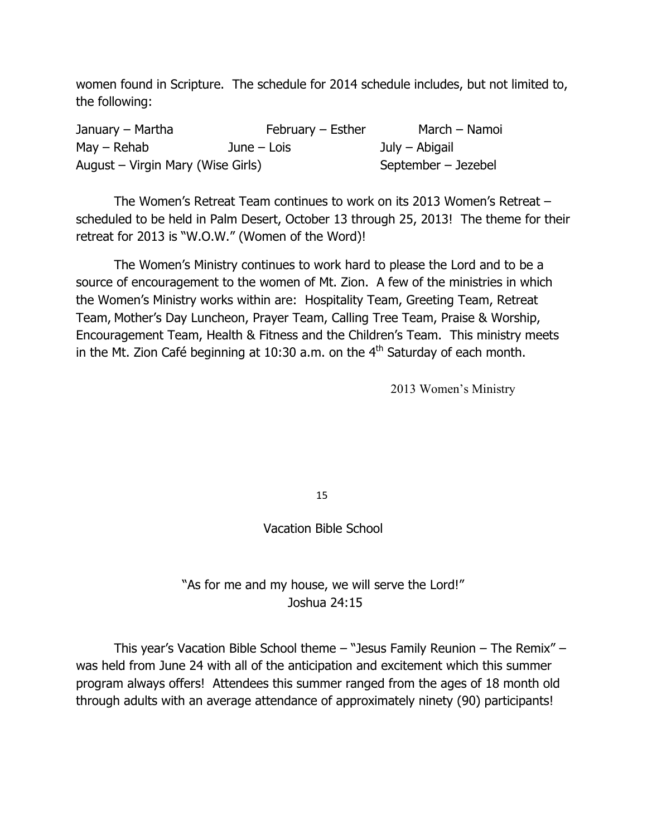women found in Scripture. The schedule for 2014 schedule includes, but not limited to, the following:

| January – Martha                  | $February - Esther$ | March - Namoi       |
|-----------------------------------|---------------------|---------------------|
| $May - Rehab$                     | June $-$ Lois       | July – Abigail      |
| August – Virgin Mary (Wise Girls) |                     | September – Jezebel |

The Women's Retreat Team continues to work on its 2013 Women's Retreat – scheduled to be held in Palm Desert, October 13 through 25, 2013! The theme for their retreat for 2013 is "W.O.W." (Women of the Word)!

The Women's Ministry continues to work hard to please the Lord and to be a source of encouragement to the women of Mt. Zion. A few of the ministries in which the Women's Ministry works within are: Hospitality Team, Greeting Team, Retreat Team, Mother's Day Luncheon, Prayer Team, Calling Tree Team, Praise & Worship, Encouragement Team, Health & Fitness and the Children's Team. This ministry meets in the Mt. Zion Café beginning at 10:30 a.m. on the  $4<sup>th</sup>$  Saturday of each month.

2013 Women's Ministry

15

Vacation Bible School

"As for me and my house, we will serve the Lord!" Joshua 24:15

This year's Vacation Bible School theme – "Jesus Family Reunion – The Remix" – was held from June 24 with all of the anticipation and excitement which this summer program always offers! Attendees this summer ranged from the ages of 18 month old through adults with an average attendance of approximately ninety (90) participants!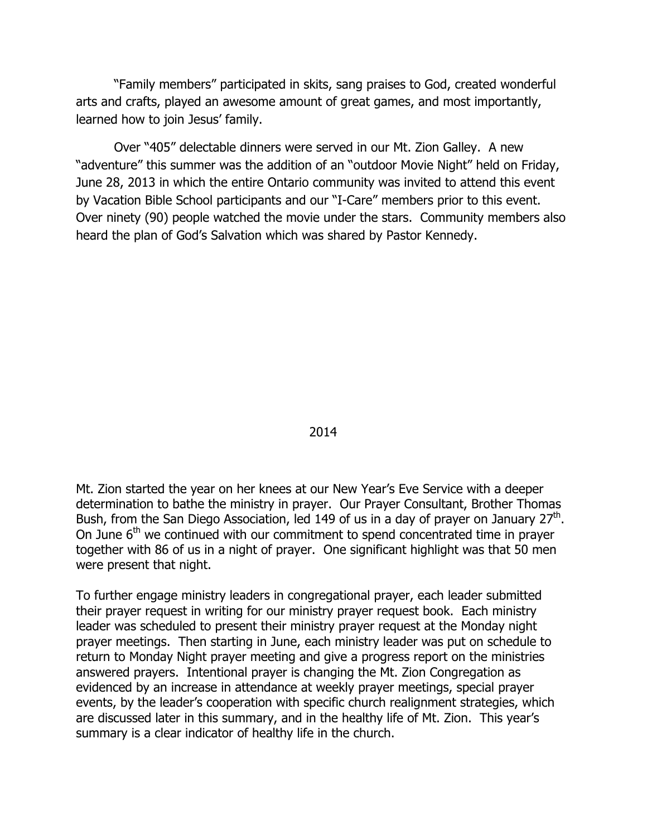"Family members" participated in skits, sang praises to God, created wonderful arts and crafts, played an awesome amount of great games, and most importantly, learned how to join Jesus' family.

Over "405" delectable dinners were served in our Mt. Zion Galley. A new "adventure" this summer was the addition of an "outdoor Movie Night" held on Friday, June 28, 2013 in which the entire Ontario community was invited to attend this event by Vacation Bible School participants and our "I-Care" members prior to this event. Over ninety (90) people watched the movie under the stars. Community members also heard the plan of God's Salvation which was shared by Pastor Kennedy.

2014

Mt. Zion started the year on her knees at our New Year's Eve Service with a deeper determination to bathe the ministry in prayer. Our Prayer Consultant, Brother Thomas Bush, from the San Diego Association, led 149 of us in a day of prayer on January  $27<sup>th</sup>$ . On June  $6<sup>th</sup>$  we continued with our commitment to spend concentrated time in prayer together with 86 of us in a night of prayer. One significant highlight was that 50 men were present that night.

To further engage ministry leaders in congregational prayer, each leader submitted their prayer request in writing for our ministry prayer request book. Each ministry leader was scheduled to present their ministry prayer request at the Monday night prayer meetings. Then starting in June, each ministry leader was put on schedule to return to Monday Night prayer meeting and give a progress report on the ministries answered prayers. Intentional prayer is changing the Mt. Zion Congregation as evidenced by an increase in attendance at weekly prayer meetings, special prayer events, by the leader's cooperation with specific church realignment strategies, which are discussed later in this summary, and in the healthy life of Mt. Zion. This year's summary is a clear indicator of healthy life in the church.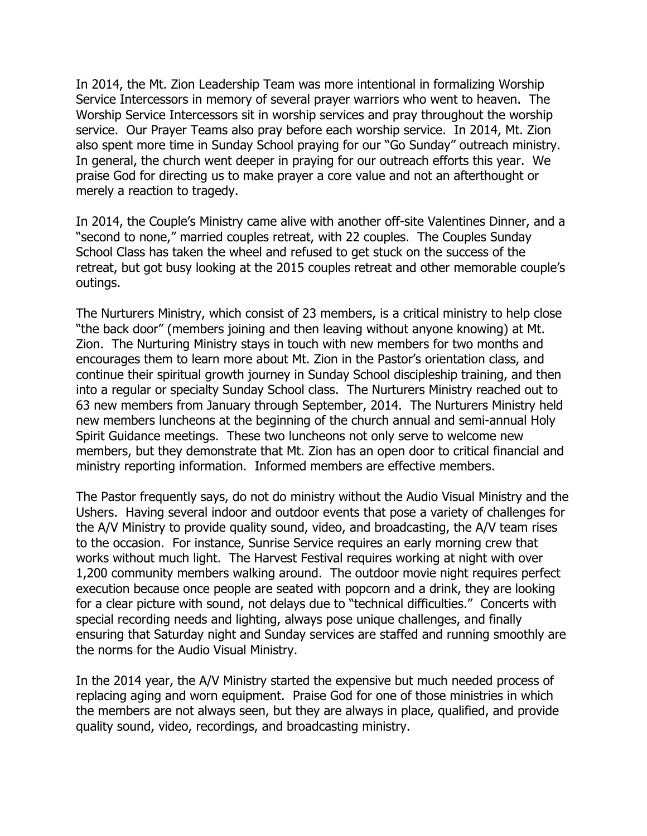In 2014, the Mt. Zion Leadership Team was more intentional in formalizing Worship Service Intercessors in memory of several prayer warriors who went to heaven. The Worship Service Intercessors sit in worship services and pray throughout the worship service. Our Prayer Teams also pray before each worship service. In 2014, Mt. Zion also spent more time in Sunday School praying for our "Go Sunday" outreach ministry. In general, the church went deeper in praying for our outreach efforts this year. We praise God for directing us to make prayer a core value and not an afterthought or merely a reaction to tragedy.

In 2014, the Couple's Ministry came alive with another off-site Valentines Dinner, and a "second to none," married couples retreat, with 22 couples. The Couples Sunday School Class has taken the wheel and refused to get stuck on the success of the retreat, but got busy looking at the 2015 couples retreat and other memorable couple's outings.

The Nurturers Ministry, which consist of 23 members, is a critical ministry to help close "the back door" (members joining and then leaving without anyone knowing) at Mt. Zion. The Nurturing Ministry stays in touch with new members for two months and encourages them to learn more about Mt. Zion in the Pastor's orientation class, and continue their spiritual growth journey in Sunday School discipleship training, and then into a regular or specialty Sunday School class. The Nurturers Ministry reached out to 63 new members from January through September, 2014. The Nurturers Ministry held new members luncheons at the beginning of the church annual and semi-annual Holy Spirit Guidance meetings. These two luncheons not only serve to welcome new members, but they demonstrate that Mt. Zion has an open door to critical financial and ministry reporting information. Informed members are effective members.

The Pastor frequently says, do not do ministry without the Audio Visual Ministry and the Ushers. Having several indoor and outdoor events that pose a variety of challenges for the A/V Ministry to provide quality sound, video, and broadcasting, the A/V team rises to the occasion. For instance, Sunrise Service requires an early morning crew that works without much light. The Harvest Festival requires working at night with over 1,200 community members walking around. The outdoor movie night requires perfect execution because once people are seated with popcorn and a drink, they are looking for a clear picture with sound, not delays due to "technical difficulties." Concerts with special recording needs and lighting, always pose unique challenges, and finally ensuring that Saturday night and Sunday services are staffed and running smoothly are the norms for the Audio Visual Ministry.

In the 2014 year, the A/V Ministry started the expensive but much needed process of replacing aging and worn equipment. Praise God for one of those ministries in which the members are not always seen, but they are always in place, qualified, and provide quality sound, video, recordings, and broadcasting ministry.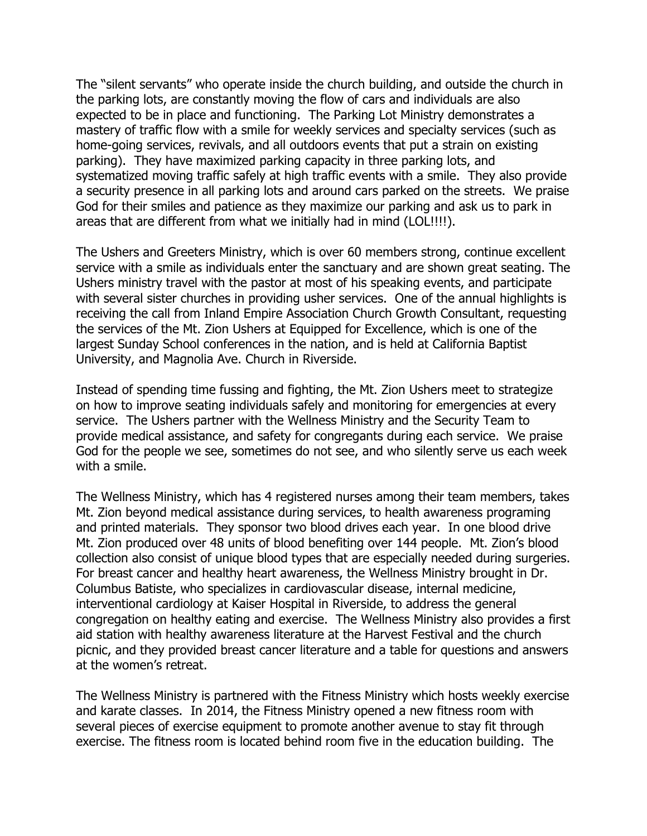The "silent servants" who operate inside the church building, and outside the church in the parking lots, are constantly moving the flow of cars and individuals are also expected to be in place and functioning. The Parking Lot Ministry demonstrates a mastery of traffic flow with a smile for weekly services and specialty services (such as home-going services, revivals, and all outdoors events that put a strain on existing parking). They have maximized parking capacity in three parking lots, and systematized moving traffic safely at high traffic events with a smile. They also provide a security presence in all parking lots and around cars parked on the streets. We praise God for their smiles and patience as they maximize our parking and ask us to park in areas that are different from what we initially had in mind (LOL!!!!).

The Ushers and Greeters Ministry, which is over 60 members strong, continue excellent service with a smile as individuals enter the sanctuary and are shown great seating. The Ushers ministry travel with the pastor at most of his speaking events, and participate with several sister churches in providing usher services. One of the annual highlights is receiving the call from Inland Empire Association Church Growth Consultant, requesting the services of the Mt. Zion Ushers at Equipped for Excellence, which is one of the largest Sunday School conferences in the nation, and is held at California Baptist University, and Magnolia Ave. Church in Riverside.

Instead of spending time fussing and fighting, the Mt. Zion Ushers meet to strategize on how to improve seating individuals safely and monitoring for emergencies at every service. The Ushers partner with the Wellness Ministry and the Security Team to provide medical assistance, and safety for congregants during each service. We praise God for the people we see, sometimes do not see, and who silently serve us each week with a smile.

The Wellness Ministry, which has 4 registered nurses among their team members, takes Mt. Zion beyond medical assistance during services, to health awareness programing and printed materials. They sponsor two blood drives each year. In one blood drive Mt. Zion produced over 48 units of blood benefiting over 144 people. Mt. Zion's blood collection also consist of unique blood types that are especially needed during surgeries. For breast cancer and healthy heart awareness, the Wellness Ministry brought in Dr. Columbus Batiste, who specializes in cardiovascular disease, internal medicine, interventional cardiology at Kaiser Hospital in Riverside, to address the general congregation on healthy eating and exercise. The Wellness Ministry also provides a first aid station with healthy awareness literature at the Harvest Festival and the church picnic, and they provided breast cancer literature and a table for questions and answers at the women's retreat.

The Wellness Ministry is partnered with the Fitness Ministry which hosts weekly exercise and karate classes. In 2014, the Fitness Ministry opened a new fitness room with several pieces of exercise equipment to promote another avenue to stay fit through exercise. The fitness room is located behind room five in the education building. The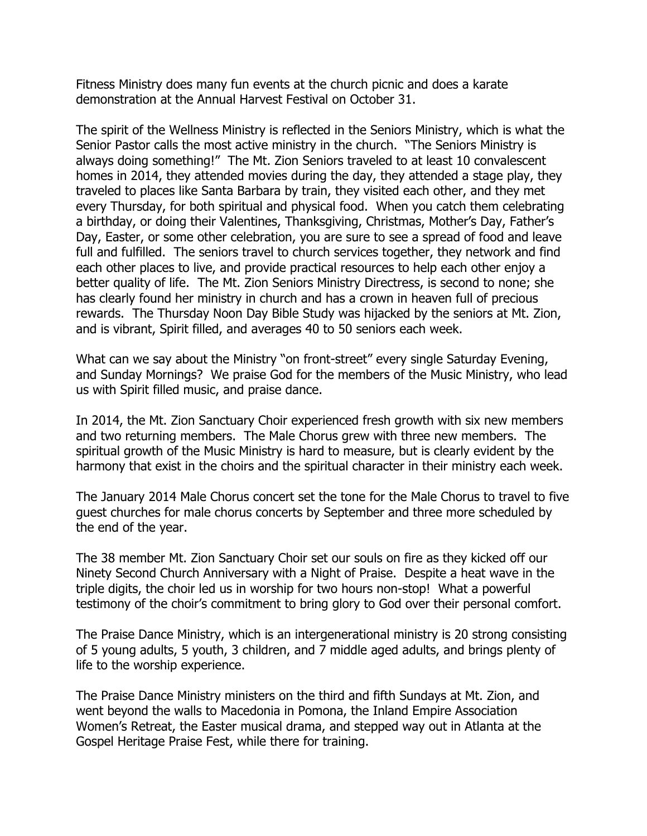Fitness Ministry does many fun events at the church picnic and does a karate demonstration at the Annual Harvest Festival on October 31.

The spirit of the Wellness Ministry is reflected in the Seniors Ministry, which is what the Senior Pastor calls the most active ministry in the church. "The Seniors Ministry is always doing something!" The Mt. Zion Seniors traveled to at least 10 convalescent homes in 2014, they attended movies during the day, they attended a stage play, they traveled to places like Santa Barbara by train, they visited each other, and they met every Thursday, for both spiritual and physical food. When you catch them celebrating a birthday, or doing their Valentines, Thanksgiving, Christmas, Mother's Day, Father's Day, Easter, or some other celebration, you are sure to see a spread of food and leave full and fulfilled. The seniors travel to church services together, they network and find each other places to live, and provide practical resources to help each other enjoy a better quality of life. The Mt. Zion Seniors Ministry Directress, is second to none; she has clearly found her ministry in church and has a crown in heaven full of precious rewards. The Thursday Noon Day Bible Study was hijacked by the seniors at Mt. Zion, and is vibrant, Spirit filled, and averages 40 to 50 seniors each week.

What can we say about the Ministry "on front-street" every single Saturday Evening, and Sunday Mornings? We praise God for the members of the Music Ministry, who lead us with Spirit filled music, and praise dance.

In 2014, the Mt. Zion Sanctuary Choir experienced fresh growth with six new members and two returning members. The Male Chorus grew with three new members. The spiritual growth of the Music Ministry is hard to measure, but is clearly evident by the harmony that exist in the choirs and the spiritual character in their ministry each week.

The January 2014 Male Chorus concert set the tone for the Male Chorus to travel to five guest churches for male chorus concerts by September and three more scheduled by the end of the year.

The 38 member Mt. Zion Sanctuary Choir set our souls on fire as they kicked off our Ninety Second Church Anniversary with a Night of Praise. Despite a heat wave in the triple digits, the choir led us in worship for two hours non-stop! What a powerful testimony of the choir's commitment to bring glory to God over their personal comfort.

The Praise Dance Ministry, which is an intergenerational ministry is 20 strong consisting of 5 young adults, 5 youth, 3 children, and 7 middle aged adults, and brings plenty of life to the worship experience.

The Praise Dance Ministry ministers on the third and fifth Sundays at Mt. Zion, and went beyond the walls to Macedonia in Pomona, the Inland Empire Association Women's Retreat, the Easter musical drama, and stepped way out in Atlanta at the Gospel Heritage Praise Fest, while there for training.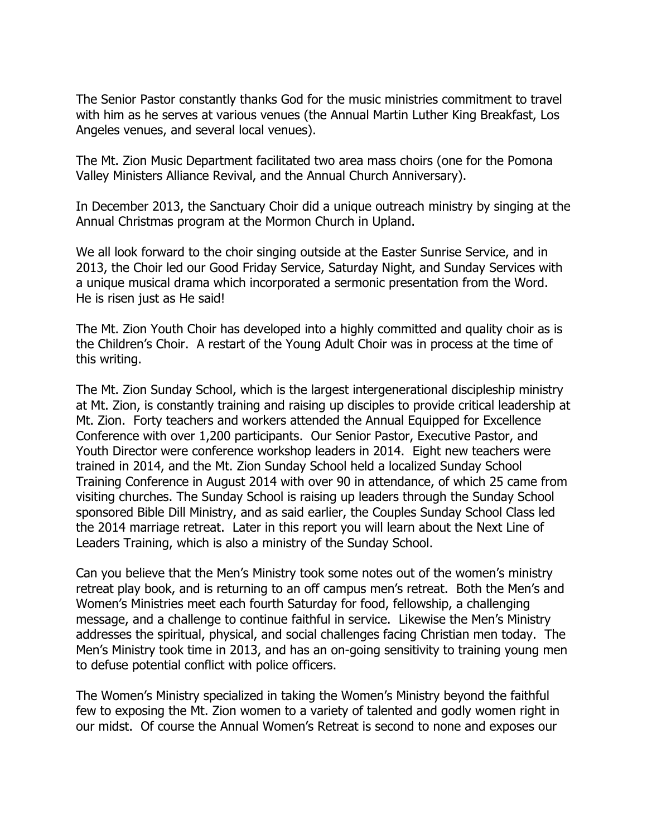The Senior Pastor constantly thanks God for the music ministries commitment to travel with him as he serves at various venues (the Annual Martin Luther King Breakfast, Los Angeles venues, and several local venues).

The Mt. Zion Music Department facilitated two area mass choirs (one for the Pomona Valley Ministers Alliance Revival, and the Annual Church Anniversary).

In December 2013, the Sanctuary Choir did a unique outreach ministry by singing at the Annual Christmas program at the Mormon Church in Upland.

We all look forward to the choir singing outside at the Easter Sunrise Service, and in 2013, the Choir led our Good Friday Service, Saturday Night, and Sunday Services with a unique musical drama which incorporated a sermonic presentation from the Word. He is risen just as He said!

The Mt. Zion Youth Choir has developed into a highly committed and quality choir as is the Children's Choir. A restart of the Young Adult Choir was in process at the time of this writing.

The Mt. Zion Sunday School, which is the largest intergenerational discipleship ministry at Mt. Zion, is constantly training and raising up disciples to provide critical leadership at Mt. Zion. Forty teachers and workers attended the Annual Equipped for Excellence Conference with over 1,200 participants. Our Senior Pastor, Executive Pastor, and Youth Director were conference workshop leaders in 2014. Eight new teachers were trained in 2014, and the Mt. Zion Sunday School held a localized Sunday School Training Conference in August 2014 with over 90 in attendance, of which 25 came from visiting churches. The Sunday School is raising up leaders through the Sunday School sponsored Bible Dill Ministry, and as said earlier, the Couples Sunday School Class led the 2014 marriage retreat. Later in this report you will learn about the Next Line of Leaders Training, which is also a ministry of the Sunday School.

Can you believe that the Men's Ministry took some notes out of the women's ministry retreat play book, and is returning to an off campus men's retreat. Both the Men's and Women's Ministries meet each fourth Saturday for food, fellowship, a challenging message, and a challenge to continue faithful in service. Likewise the Men's Ministry addresses the spiritual, physical, and social challenges facing Christian men today. The Men's Ministry took time in 2013, and has an on-going sensitivity to training young men to defuse potential conflict with police officers.

The Women's Ministry specialized in taking the Women's Ministry beyond the faithful few to exposing the Mt. Zion women to a variety of talented and godly women right in our midst. Of course the Annual Women's Retreat is second to none and exposes our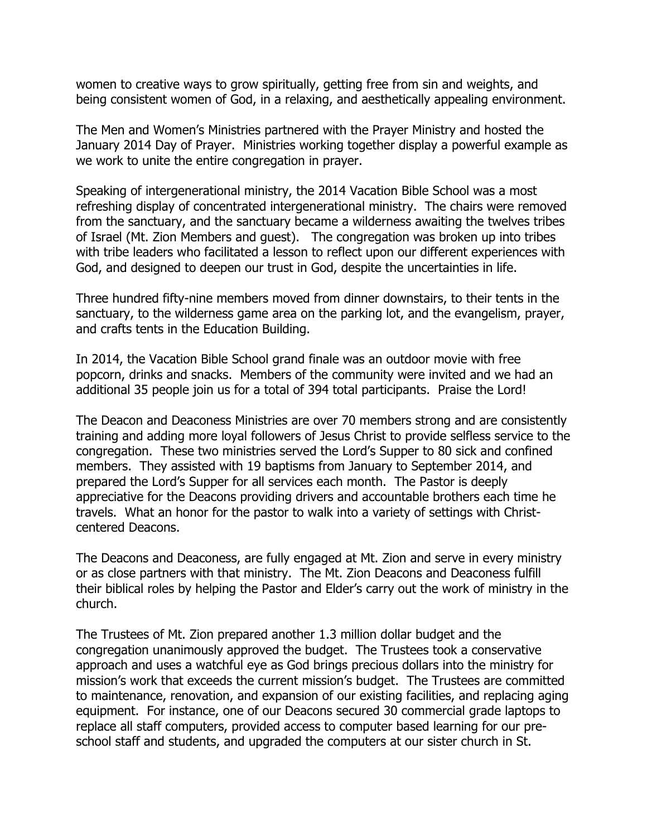women to creative ways to grow spiritually, getting free from sin and weights, and being consistent women of God, in a relaxing, and aesthetically appealing environment.

The Men and Women's Ministries partnered with the Prayer Ministry and hosted the January 2014 Day of Prayer. Ministries working together display a powerful example as we work to unite the entire congregation in prayer.

Speaking of intergenerational ministry, the 2014 Vacation Bible School was a most refreshing display of concentrated intergenerational ministry. The chairs were removed from the sanctuary, and the sanctuary became a wilderness awaiting the twelves tribes of Israel (Mt. Zion Members and guest). The congregation was broken up into tribes with tribe leaders who facilitated a lesson to reflect upon our different experiences with God, and designed to deepen our trust in God, despite the uncertainties in life.

Three hundred fifty-nine members moved from dinner downstairs, to their tents in the sanctuary, to the wilderness game area on the parking lot, and the evangelism, prayer, and crafts tents in the Education Building.

In 2014, the Vacation Bible School grand finale was an outdoor movie with free popcorn, drinks and snacks. Members of the community were invited and we had an additional 35 people join us for a total of 394 total participants. Praise the Lord!

The Deacon and Deaconess Ministries are over 70 members strong and are consistently training and adding more loyal followers of Jesus Christ to provide selfless service to the congregation. These two ministries served the Lord's Supper to 80 sick and confined members. They assisted with 19 baptisms from January to September 2014, and prepared the Lord's Supper for all services each month. The Pastor is deeply appreciative for the Deacons providing drivers and accountable brothers each time he travels. What an honor for the pastor to walk into a variety of settings with Christcentered Deacons.

The Deacons and Deaconess, are fully engaged at Mt. Zion and serve in every ministry or as close partners with that ministry. The Mt. Zion Deacons and Deaconess fulfill their biblical roles by helping the Pastor and Elder's carry out the work of ministry in the church.

The Trustees of Mt. Zion prepared another 1.3 million dollar budget and the congregation unanimously approved the budget. The Trustees took a conservative approach and uses a watchful eye as God brings precious dollars into the ministry for mission's work that exceeds the current mission's budget. The Trustees are committed to maintenance, renovation, and expansion of our existing facilities, and replacing aging equipment. For instance, one of our Deacons secured 30 commercial grade laptops to replace all staff computers, provided access to computer based learning for our preschool staff and students, and upgraded the computers at our sister church in St.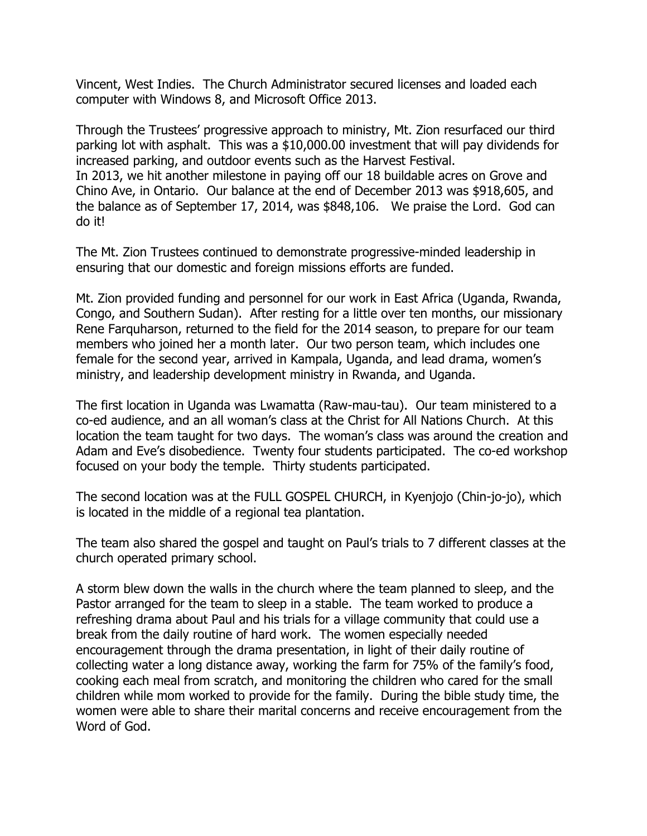Vincent, West Indies. The Church Administrator secured licenses and loaded each computer with Windows 8, and Microsoft Office 2013.

Through the Trustees' progressive approach to ministry, Mt. Zion resurfaced our third parking lot with asphalt. This was a \$10,000.00 investment that will pay dividends for increased parking, and outdoor events such as the Harvest Festival. In 2013, we hit another milestone in paying off our 18 buildable acres on Grove and Chino Ave, in Ontario. Our balance at the end of December 2013 was \$918,605, and the balance as of September 17, 2014, was \$848,106. We praise the Lord. God can do it!

The Mt. Zion Trustees continued to demonstrate progressive-minded leadership in ensuring that our domestic and foreign missions efforts are funded.

Mt. Zion provided funding and personnel for our work in East Africa (Uganda, Rwanda, Congo, and Southern Sudan). After resting for a little over ten months, our missionary Rene Farquharson, returned to the field for the 2014 season, to prepare for our team members who joined her a month later. Our two person team, which includes one female for the second year, arrived in Kampala, Uganda, and lead drama, women's ministry, and leadership development ministry in Rwanda, and Uganda.

The first location in Uganda was Lwamatta (Raw-mau-tau). Our team ministered to a co-ed audience, and an all woman's class at the Christ for All Nations Church. At this location the team taught for two days. The woman's class was around the creation and Adam and Eve's disobedience. Twenty four students participated. The co-ed workshop focused on your body the temple. Thirty students participated.

The second location was at the FULL GOSPEL CHURCH, in Kyenjojo (Chin-jo-jo), which is located in the middle of a regional tea plantation.

The team also shared the gospel and taught on Paul's trials to 7 different classes at the church operated primary school.

A storm blew down the walls in the church where the team planned to sleep, and the Pastor arranged for the team to sleep in a stable. The team worked to produce a refreshing drama about Paul and his trials for a village community that could use a break from the daily routine of hard work. The women especially needed encouragement through the drama presentation, in light of their daily routine of collecting water a long distance away, working the farm for 75% of the family's food, cooking each meal from scratch, and monitoring the children who cared for the small children while mom worked to provide for the family. During the bible study time, the women were able to share their marital concerns and receive encouragement from the Word of God.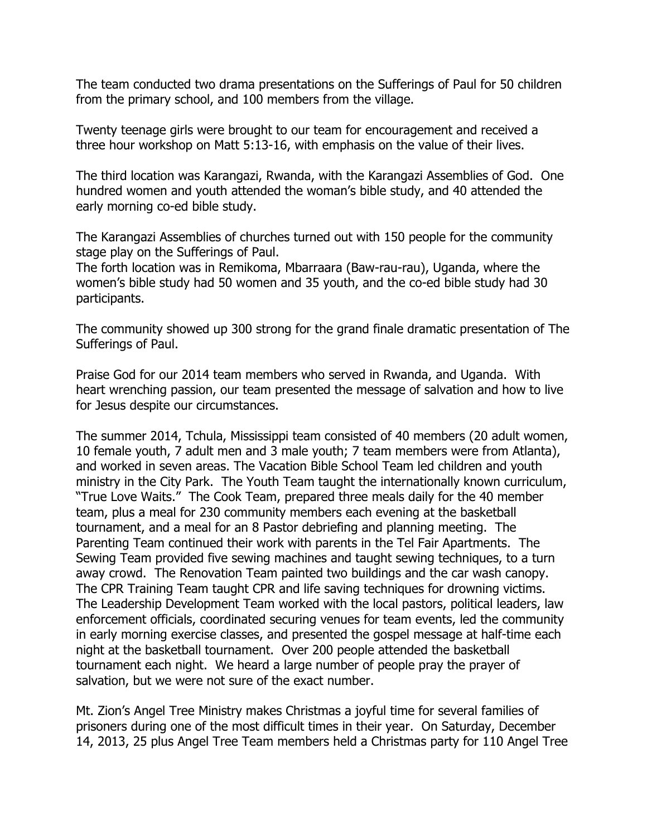The team conducted two drama presentations on the Sufferings of Paul for 50 children from the primary school, and 100 members from the village.

Twenty teenage girls were brought to our team for encouragement and received a three hour workshop on Matt 5:13-16, with emphasis on the value of their lives.

The third location was Karangazi, Rwanda, with the Karangazi Assemblies of God. One hundred women and youth attended the woman's bible study, and 40 attended the early morning co-ed bible study.

The Karangazi Assemblies of churches turned out with 150 people for the community stage play on the Sufferings of Paul.

The forth location was in Remikoma, Mbarraara (Baw-rau-rau), Uganda, where the women's bible study had 50 women and 35 youth, and the co-ed bible study had 30 participants.

The community showed up 300 strong for the grand finale dramatic presentation of The Sufferings of Paul.

Praise God for our 2014 team members who served in Rwanda, and Uganda. With heart wrenching passion, our team presented the message of salvation and how to live for Jesus despite our circumstances.

The summer 2014, Tchula, Mississippi team consisted of 40 members (20 adult women, 10 female youth, 7 adult men and 3 male youth; 7 team members were from Atlanta), and worked in seven areas. The Vacation Bible School Team led children and youth ministry in the City Park. The Youth Team taught the internationally known curriculum, "True Love Waits." The Cook Team, prepared three meals daily for the 40 member team, plus a meal for 230 community members each evening at the basketball tournament, and a meal for an 8 Pastor debriefing and planning meeting. The Parenting Team continued their work with parents in the Tel Fair Apartments. The Sewing Team provided five sewing machines and taught sewing techniques, to a turn away crowd. The Renovation Team painted two buildings and the car wash canopy. The CPR Training Team taught CPR and life saving techniques for drowning victims. The Leadership Development Team worked with the local pastors, political leaders, law enforcement officials, coordinated securing venues for team events, led the community in early morning exercise classes, and presented the gospel message at half-time each night at the basketball tournament. Over 200 people attended the basketball tournament each night. We heard a large number of people pray the prayer of salvation, but we were not sure of the exact number.

Mt. Zion's Angel Tree Ministry makes Christmas a joyful time for several families of prisoners during one of the most difficult times in their year. On Saturday, December 14, 2013, 25 plus Angel Tree Team members held a Christmas party for 110 Angel Tree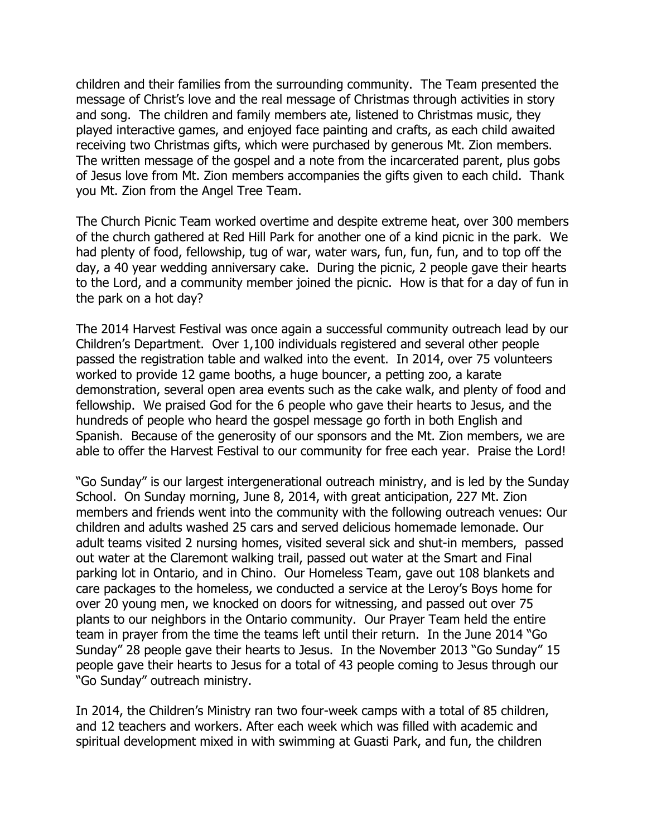children and their families from the surrounding community. The Team presented the message of Christ's love and the real message of Christmas through activities in story and song. The children and family members ate, listened to Christmas music, they played interactive games, and enjoyed face painting and crafts, as each child awaited receiving two Christmas gifts, which were purchased by generous Mt. Zion members. The written message of the gospel and a note from the incarcerated parent, plus gobs of Jesus love from Mt. Zion members accompanies the gifts given to each child. Thank you Mt. Zion from the Angel Tree Team.

The Church Picnic Team worked overtime and despite extreme heat, over 300 members of the church gathered at Red Hill Park for another one of a kind picnic in the park. We had plenty of food, fellowship, tug of war, water wars, fun, fun, fun, and to top off the day, a 40 year wedding anniversary cake. During the picnic, 2 people gave their hearts to the Lord, and a community member joined the picnic. How is that for a day of fun in the park on a hot day?

The 2014 Harvest Festival was once again a successful community outreach lead by our Children's Department. Over 1,100 individuals registered and several other people passed the registration table and walked into the event. In 2014, over 75 volunteers worked to provide 12 game booths, a huge bouncer, a petting zoo, a karate demonstration, several open area events such as the cake walk, and plenty of food and fellowship. We praised God for the 6 people who gave their hearts to Jesus, and the hundreds of people who heard the gospel message go forth in both English and Spanish. Because of the generosity of our sponsors and the Mt. Zion members, we are able to offer the Harvest Festival to our community for free each year. Praise the Lord!

"Go Sunday" is our largest intergenerational outreach ministry, and is led by the Sunday School. On Sunday morning, June 8, 2014, with great anticipation, 227 Mt. Zion members and friends went into the community with the following outreach venues: Our children and adults washed 25 cars and served delicious homemade lemonade. Our adult teams visited 2 nursing homes, visited several sick and shut-in members, passed out water at the Claremont walking trail, passed out water at the Smart and Final parking lot in Ontario, and in Chino. Our Homeless Team, gave out 108 blankets and care packages to the homeless, we conducted a service at the Leroy's Boys home for over 20 young men, we knocked on doors for witnessing, and passed out over 75 plants to our neighbors in the Ontario community. Our Prayer Team held the entire team in prayer from the time the teams left until their return. In the June 2014 "Go Sunday" 28 people gave their hearts to Jesus. In the November 2013 "Go Sunday" 15 people gave their hearts to Jesus for a total of 43 people coming to Jesus through our "Go Sunday" outreach ministry.

In 2014, the Children's Ministry ran two four-week camps with a total of 85 children, and 12 teachers and workers. After each week which was filled with academic and spiritual development mixed in with swimming at Guasti Park, and fun, the children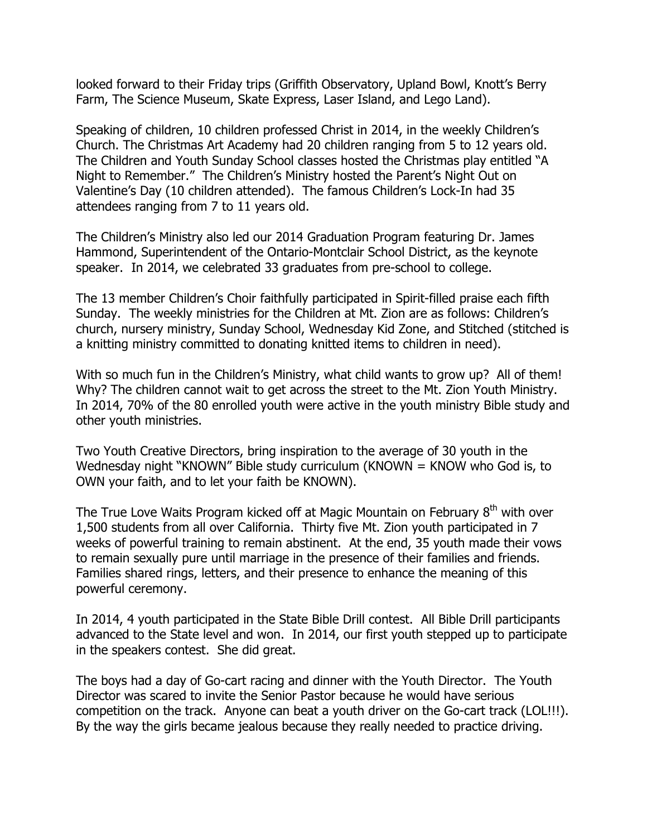looked forward to their Friday trips (Griffith Observatory, Upland Bowl, Knott's Berry Farm, The Science Museum, Skate Express, Laser Island, and Lego Land).

Speaking of children, 10 children professed Christ in 2014, in the weekly Children's Church. The Christmas Art Academy had 20 children ranging from 5 to 12 years old. The Children and Youth Sunday School classes hosted the Christmas play entitled "A Night to Remember." The Children's Ministry hosted the Parent's Night Out on Valentine's Day (10 children attended). The famous Children's Lock-In had 35 attendees ranging from 7 to 11 years old.

The Children's Ministry also led our 2014 Graduation Program featuring Dr. James Hammond, Superintendent of the Ontario-Montclair School District, as the keynote speaker. In 2014, we celebrated 33 graduates from pre-school to college.

The 13 member Children's Choir faithfully participated in Spirit-filled praise each fifth Sunday. The weekly ministries for the Children at Mt. Zion are as follows: Children's church, nursery ministry, Sunday School, Wednesday Kid Zone, and Stitched (stitched is a knitting ministry committed to donating knitted items to children in need).

With so much fun in the Children's Ministry, what child wants to grow up? All of them! Why? The children cannot wait to get across the street to the Mt. Zion Youth Ministry. In 2014, 70% of the 80 enrolled youth were active in the youth ministry Bible study and other youth ministries.

Two Youth Creative Directors, bring inspiration to the average of 30 youth in the Wednesday night "KNOWN" Bible study curriculum (KNOWN = KNOW who God is, to OWN your faith, and to let your faith be KNOWN).

The True Love Waits Program kicked off at Magic Mountain on February 8<sup>th</sup> with over 1,500 students from all over California. Thirty five Mt. Zion youth participated in 7 weeks of powerful training to remain abstinent. At the end, 35 youth made their vows to remain sexually pure until marriage in the presence of their families and friends. Families shared rings, letters, and their presence to enhance the meaning of this powerful ceremony.

In 2014, 4 youth participated in the State Bible Drill contest. All Bible Drill participants advanced to the State level and won. In 2014, our first youth stepped up to participate in the speakers contest. She did great.

The boys had a day of Go-cart racing and dinner with the Youth Director. The Youth Director was scared to invite the Senior Pastor because he would have serious competition on the track. Anyone can beat a youth driver on the Go-cart track (LOL!!!). By the way the girls became jealous because they really needed to practice driving.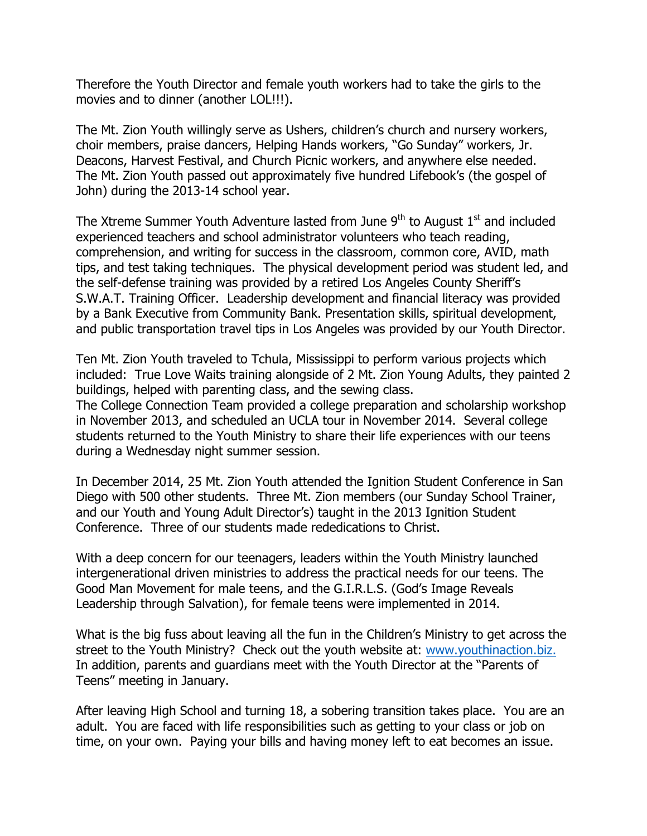Therefore the Youth Director and female youth workers had to take the girls to the movies and to dinner (another LOL!!!).

The Mt. Zion Youth willingly serve as Ushers, children's church and nursery workers, choir members, praise dancers, Helping Hands workers, "Go Sunday" workers, Jr. Deacons, Harvest Festival, and Church Picnic workers, and anywhere else needed. The Mt. Zion Youth passed out approximately five hundred Lifebook's (the gospel of John) during the 2013-14 school year.

The Xtreme Summer Youth Adventure lasted from June  $9<sup>th</sup>$  to August  $1<sup>st</sup>$  and included experienced teachers and school administrator volunteers who teach reading, comprehension, and writing for success in the classroom, common core, AVID, math tips, and test taking techniques. The physical development period was student led, and the self-defense training was provided by a retired Los Angeles County Sheriff's S.W.A.T. Training Officer. Leadership development and financial literacy was provided by a Bank Executive from Community Bank. Presentation skills, spiritual development, and public transportation travel tips in Los Angeles was provided by our Youth Director.

Ten Mt. Zion Youth traveled to Tchula, Mississippi to perform various projects which included: True Love Waits training alongside of 2 Mt. Zion Young Adults, they painted 2 buildings, helped with parenting class, and the sewing class.

The College Connection Team provided a college preparation and scholarship workshop in November 2013, and scheduled an UCLA tour in November 2014. Several college students returned to the Youth Ministry to share their life experiences with our teens during a Wednesday night summer session.

In December 2014, 25 Mt. Zion Youth attended the Ignition Student Conference in San Diego with 500 other students. Three Mt. Zion members (our Sunday School Trainer, and our Youth and Young Adult Director's) taught in the 2013 Ignition Student Conference. Three of our students made rededications to Christ.

With a deep concern for our teenagers, leaders within the Youth Ministry launched intergenerational driven ministries to address the practical needs for our teens. The Good Man Movement for male teens, and the G.I.R.L.S. (God's Image Reveals Leadership through Salvation), for female teens were implemented in 2014.

What is the big fuss about leaving all the fun in the Children's Ministry to get across the street to the Youth Ministry? Check out the youth website at: www.youthinaction.biz. In addition, parents and guardians meet with the Youth Director at the "Parents of Teens" meeting in January.

After leaving High School and turning 18, a sobering transition takes place. You are an adult. You are faced with life responsibilities such as getting to your class or job on time, on your own. Paying your bills and having money left to eat becomes an issue.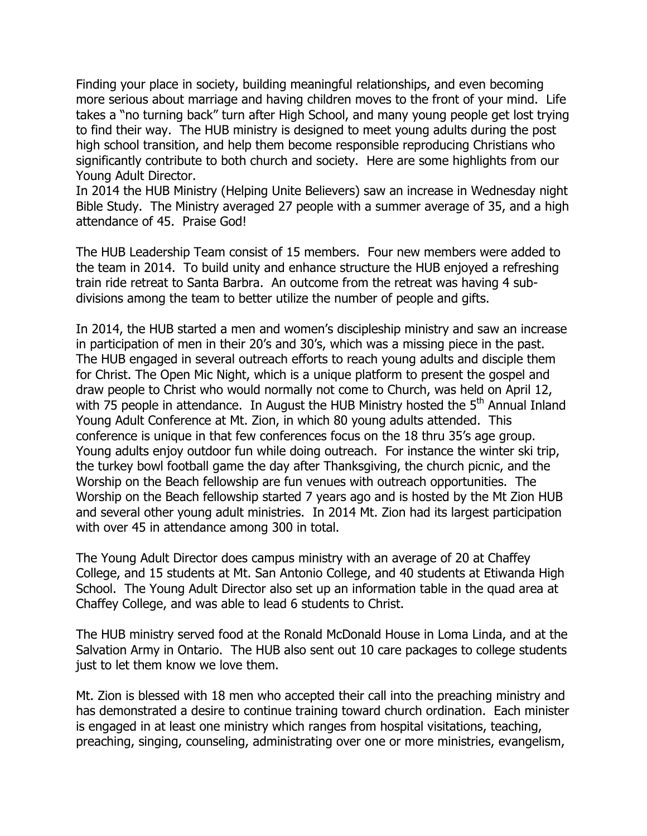Finding your place in society, building meaningful relationships, and even becoming more serious about marriage and having children moves to the front of your mind. Life takes a "no turning back" turn after High School, and many young people get lost trying to find their way. The HUB ministry is designed to meet young adults during the post high school transition, and help them become responsible reproducing Christians who significantly contribute to both church and society. Here are some highlights from our Young Adult Director.

In 2014 the HUB Ministry (Helping Unite Believers) saw an increase in Wednesday night Bible Study. The Ministry averaged 27 people with a summer average of 35, and a high attendance of 45. Praise God!

The HUB Leadership Team consist of 15 members. Four new members were added to the team in 2014. To build unity and enhance structure the HUB enjoyed a refreshing train ride retreat to Santa Barbra. An outcome from the retreat was having 4 subdivisions among the team to better utilize the number of people and gifts.

In 2014, the HUB started a men and women's discipleship ministry and saw an increase in participation of men in their 20's and 30's, which was a missing piece in the past. The HUB engaged in several outreach efforts to reach young adults and disciple them for Christ. The Open Mic Night, which is a unique platform to present the gospel and draw people to Christ who would normally not come to Church, was held on April 12, with 75 people in attendance. In August the HUB Ministry hosted the 5<sup>th</sup> Annual Inland Young Adult Conference at Mt. Zion, in which 80 young adults attended. This conference is unique in that few conferences focus on the 18 thru 35's age group. Young adults enjoy outdoor fun while doing outreach. For instance the winter ski trip, the turkey bowl football game the day after Thanksgiving, the church picnic, and the Worship on the Beach fellowship are fun venues with outreach opportunities. The Worship on the Beach fellowship started 7 years ago and is hosted by the Mt Zion HUB and several other young adult ministries. In 2014 Mt. Zion had its largest participation with over 45 in attendance among 300 in total.

The Young Adult Director does campus ministry with an average of 20 at Chaffey College, and 15 students at Mt. San Antonio College, and 40 students at Etiwanda High School. The Young Adult Director also set up an information table in the quad area at Chaffey College, and was able to lead 6 students to Christ.

The HUB ministry served food at the Ronald McDonald House in Loma Linda, and at the Salvation Army in Ontario. The HUB also sent out 10 care packages to college students just to let them know we love them.

Mt. Zion is blessed with 18 men who accepted their call into the preaching ministry and has demonstrated a desire to continue training toward church ordination. Each minister is engaged in at least one ministry which ranges from hospital visitations, teaching, preaching, singing, counseling, administrating over one or more ministries, evangelism,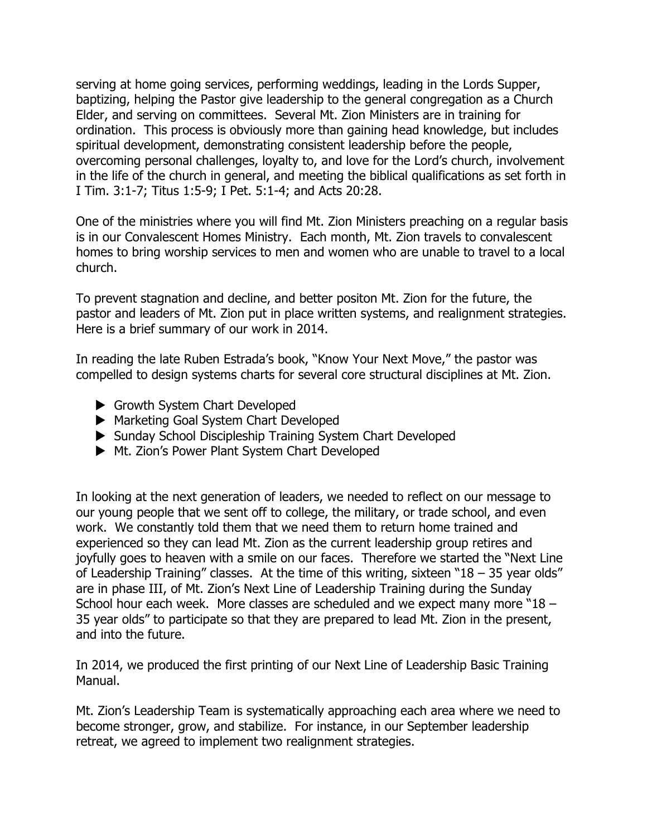serving at home going services, performing weddings, leading in the Lords Supper, baptizing, helping the Pastor give leadership to the general congregation as a Church Elder, and serving on committees. Several Mt. Zion Ministers are in training for ordination. This process is obviously more than gaining head knowledge, but includes spiritual development, demonstrating consistent leadership before the people, overcoming personal challenges, loyalty to, and love for the Lord's church, involvement in the life of the church in general, and meeting the biblical qualifications as set forth in I Tim. 3:1-7; Titus 1:5-9; I Pet. 5:1-4; and Acts 20:28.

One of the ministries where you will find Mt. Zion Ministers preaching on a regular basis is in our Convalescent Homes Ministry. Each month, Mt. Zion travels to convalescent homes to bring worship services to men and women who are unable to travel to a local church.

To prevent stagnation and decline, and better positon Mt. Zion for the future, the pastor and leaders of Mt. Zion put in place written systems, and realignment strategies. Here is a brief summary of our work in 2014.

In reading the late Ruben Estrada's book, "Know Your Next Move," the pastor was compelled to design systems charts for several core structural disciplines at Mt. Zion.

- $\blacktriangleright$  Growth System Chart Developed
- ▶ Marketing Goal System Chart Developed
- ▶ Sunday School Discipleship Training System Chart Developed
- ▶ Mt. Zion's Power Plant System Chart Developed

In looking at the next generation of leaders, we needed to reflect on our message to our young people that we sent off to college, the military, or trade school, and even work. We constantly told them that we need them to return home trained and experienced so they can lead Mt. Zion as the current leadership group retires and joyfully goes to heaven with a smile on our faces. Therefore we started the "Next Line of Leadership Training" classes. At the time of this writing, sixteen "18 – 35 year olds" are in phase III, of Mt. Zion's Next Line of Leadership Training during the Sunday School hour each week. More classes are scheduled and we expect many more "18 – 35 year olds" to participate so that they are prepared to lead Mt. Zion in the present, and into the future.

In 2014, we produced the first printing of our Next Line of Leadership Basic Training Manual.

Mt. Zion's Leadership Team is systematically approaching each area where we need to become stronger, grow, and stabilize. For instance, in our September leadership retreat, we agreed to implement two realignment strategies.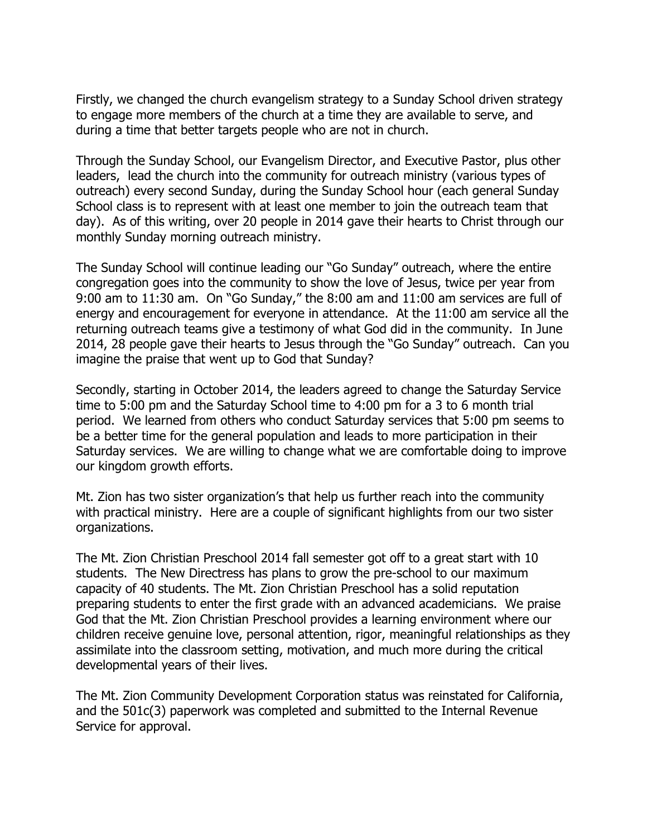Firstly, we changed the church evangelism strategy to a Sunday School driven strategy to engage more members of the church at a time they are available to serve, and during a time that better targets people who are not in church.

Through the Sunday School, our Evangelism Director, and Executive Pastor, plus other leaders, lead the church into the community for outreach ministry (various types of outreach) every second Sunday, during the Sunday School hour (each general Sunday School class is to represent with at least one member to join the outreach team that day). As of this writing, over 20 people in 2014 gave their hearts to Christ through our monthly Sunday morning outreach ministry.

The Sunday School will continue leading our "Go Sunday" outreach, where the entire congregation goes into the community to show the love of Jesus, twice per year from 9:00 am to 11:30 am. On "Go Sunday," the 8:00 am and 11:00 am services are full of energy and encouragement for everyone in attendance. At the 11:00 am service all the returning outreach teams give a testimony of what God did in the community. In June 2014, 28 people gave their hearts to Jesus through the "Go Sunday" outreach. Can you imagine the praise that went up to God that Sunday?

Secondly, starting in October 2014, the leaders agreed to change the Saturday Service time to 5:00 pm and the Saturday School time to 4:00 pm for a 3 to 6 month trial period. We learned from others who conduct Saturday services that 5:00 pm seems to be a better time for the general population and leads to more participation in their Saturday services. We are willing to change what we are comfortable doing to improve our kingdom growth efforts.

Mt. Zion has two sister organization's that help us further reach into the community with practical ministry. Here are a couple of significant highlights from our two sister organizations.

The Mt. Zion Christian Preschool 2014 fall semester got off to a great start with 10 students. The New Directress has plans to grow the pre-school to our maximum capacity of 40 students. The Mt. Zion Christian Preschool has a solid reputation preparing students to enter the first grade with an advanced academicians. We praise God that the Mt. Zion Christian Preschool provides a learning environment where our children receive genuine love, personal attention, rigor, meaningful relationships as they assimilate into the classroom setting, motivation, and much more during the critical developmental years of their lives.

The Mt. Zion Community Development Corporation status was reinstated for California, and the 501c(3) paperwork was completed and submitted to the Internal Revenue Service for approval.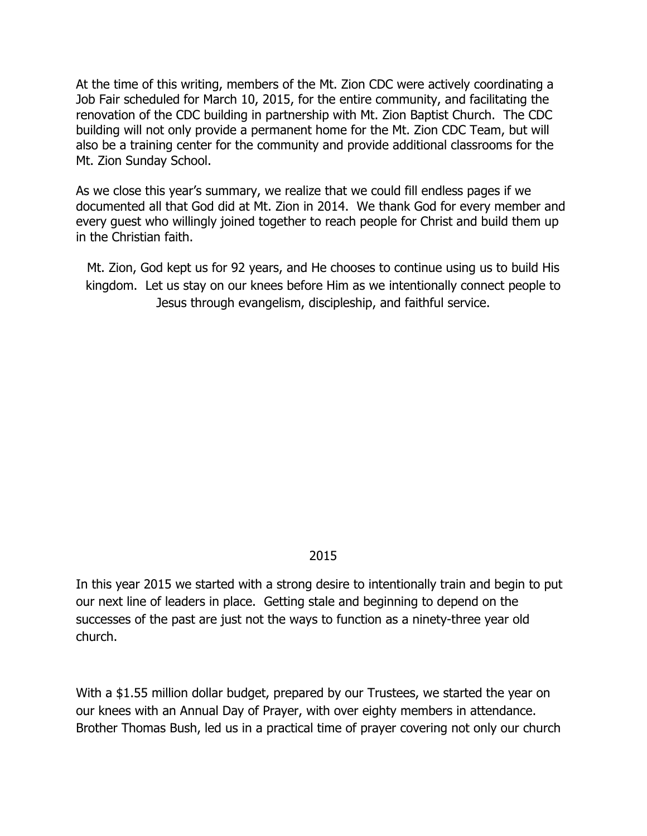At the time of this writing, members of the Mt. Zion CDC were actively coordinating a Job Fair scheduled for March 10, 2015, for the entire community, and facilitating the renovation of the CDC building in partnership with Mt. Zion Baptist Church. The CDC building will not only provide a permanent home for the Mt. Zion CDC Team, but will also be a training center for the community and provide additional classrooms for the Mt. Zion Sunday School.

As we close this year's summary, we realize that we could fill endless pages if we documented all that God did at Mt. Zion in 2014. We thank God for every member and every guest who willingly joined together to reach people for Christ and build them up in the Christian faith.

Mt. Zion, God kept us for 92 years, and He chooses to continue using us to build His kingdom. Let us stay on our knees before Him as we intentionally connect people to Jesus through evangelism, discipleship, and faithful service.

### 2015

In this year 2015 we started with a strong desire to intentionally train and begin to put our next line of leaders in place. Getting stale and beginning to depend on the successes of the past are just not the ways to function as a ninety-three year old church.

With a \$1.55 million dollar budget, prepared by our Trustees, we started the year on our knees with an Annual Day of Prayer, with over eighty members in attendance. Brother Thomas Bush, led us in a practical time of prayer covering not only our church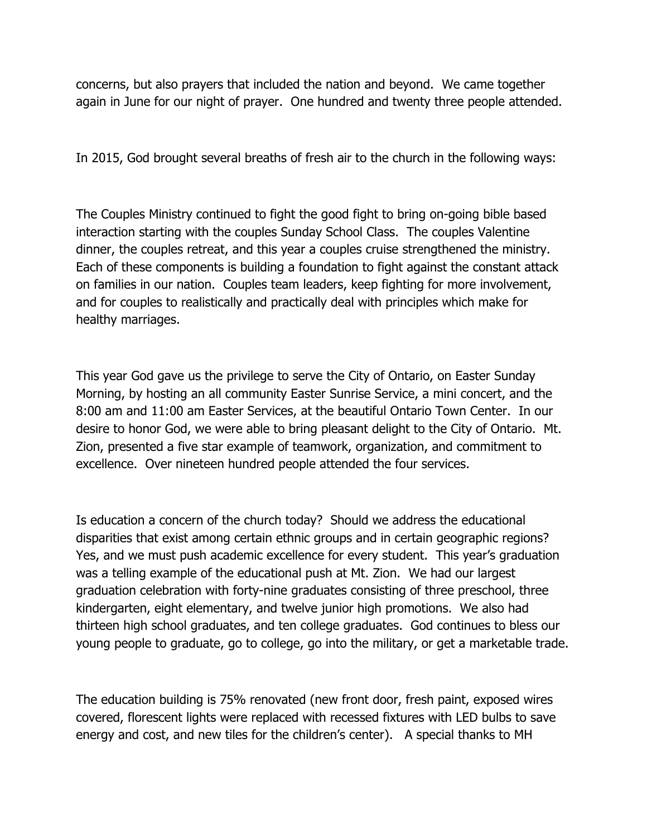concerns, but also prayers that included the nation and beyond. We came together again in June for our night of prayer. One hundred and twenty three people attended.

In 2015, God brought several breaths of fresh air to the church in the following ways:

The Couples Ministry continued to fight the good fight to bring on-going bible based interaction starting with the couples Sunday School Class. The couples Valentine dinner, the couples retreat, and this year a couples cruise strengthened the ministry. Each of these components is building a foundation to fight against the constant attack on families in our nation. Couples team leaders, keep fighting for more involvement, and for couples to realistically and practically deal with principles which make for healthy marriages.

This year God gave us the privilege to serve the City of Ontario, on Easter Sunday Morning, by hosting an all community Easter Sunrise Service, a mini concert, and the 8:00 am and 11:00 am Easter Services, at the beautiful Ontario Town Center. In our desire to honor God, we were able to bring pleasant delight to the City of Ontario. Mt. Zion, presented a five star example of teamwork, organization, and commitment to excellence. Over nineteen hundred people attended the four services.

Is education a concern of the church today? Should we address the educational disparities that exist among certain ethnic groups and in certain geographic regions? Yes, and we must push academic excellence for every student. This year's graduation was a telling example of the educational push at Mt. Zion. We had our largest graduation celebration with forty-nine graduates consisting of three preschool, three kindergarten, eight elementary, and twelve junior high promotions. We also had thirteen high school graduates, and ten college graduates. God continues to bless our young people to graduate, go to college, go into the military, or get a marketable trade.

The education building is 75% renovated (new front door, fresh paint, exposed wires covered, florescent lights were replaced with recessed fixtures with LED bulbs to save energy and cost, and new tiles for the children's center). A special thanks to MH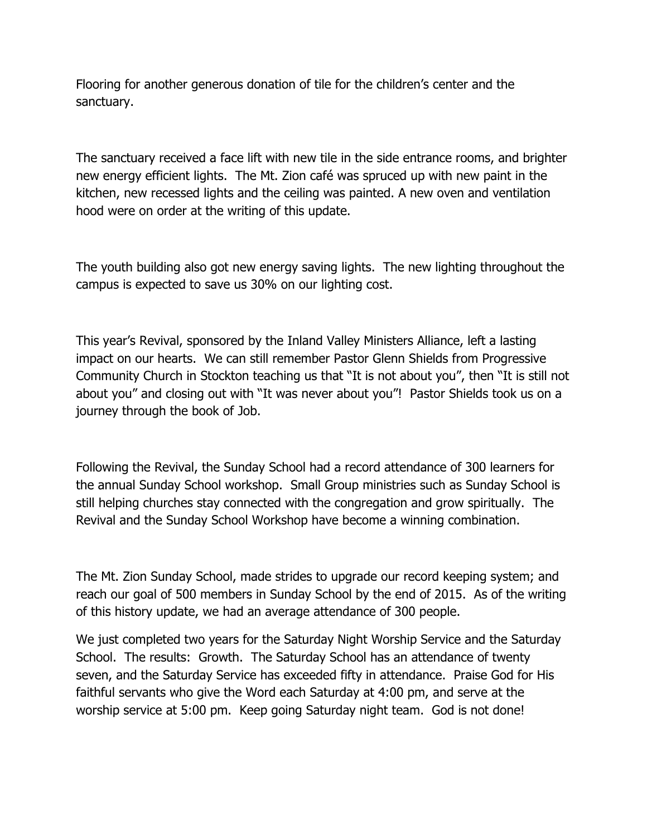Flooring for another generous donation of tile for the children's center and the sanctuary.

The sanctuary received a face lift with new tile in the side entrance rooms, and brighter new energy efficient lights. The Mt. Zion café was spruced up with new paint in the kitchen, new recessed lights and the ceiling was painted. A new oven and ventilation hood were on order at the writing of this update.

The youth building also got new energy saving lights. The new lighting throughout the campus is expected to save us 30% on our lighting cost.

This year's Revival, sponsored by the Inland Valley Ministers Alliance, left a lasting impact on our hearts. We can still remember Pastor Glenn Shields from Progressive Community Church in Stockton teaching us that "It is not about you", then "It is still not about you" and closing out with "It was never about you"! Pastor Shields took us on a journey through the book of Job.

Following the Revival, the Sunday School had a record attendance of 300 learners for the annual Sunday School workshop. Small Group ministries such as Sunday School is still helping churches stay connected with the congregation and grow spiritually. The Revival and the Sunday School Workshop have become a winning combination.

The Mt. Zion Sunday School, made strides to upgrade our record keeping system; and reach our goal of 500 members in Sunday School by the end of 2015. As of the writing of this history update, we had an average attendance of 300 people.

We just completed two years for the Saturday Night Worship Service and the Saturday School. The results: Growth. The Saturday School has an attendance of twenty seven, and the Saturday Service has exceeded fifty in attendance. Praise God for His faithful servants who give the Word each Saturday at 4:00 pm, and serve at the worship service at 5:00 pm. Keep going Saturday night team. God is not done!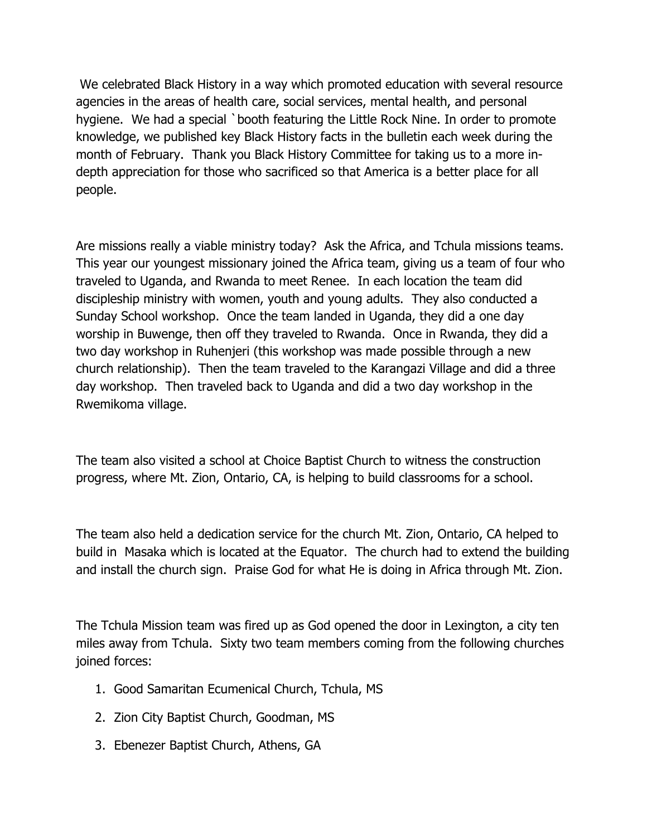We celebrated Black History in a way which promoted education with several resource agencies in the areas of health care, social services, mental health, and personal hygiene. We had a special `booth featuring the Little Rock Nine. In order to promote knowledge, we published key Black History facts in the bulletin each week during the month of February. Thank you Black History Committee for taking us to a more indepth appreciation for those who sacrificed so that America is a better place for all people.

Are missions really a viable ministry today? Ask the Africa, and Tchula missions teams. This year our youngest missionary joined the Africa team, giving us a team of four who traveled to Uganda, and Rwanda to meet Renee. In each location the team did discipleship ministry with women, youth and young adults. They also conducted a Sunday School workshop. Once the team landed in Uganda, they did a one day worship in Buwenge, then off they traveled to Rwanda. Once in Rwanda, they did a two day workshop in Ruhenjeri (this workshop was made possible through a new church relationship). Then the team traveled to the Karangazi Village and did a three day workshop. Then traveled back to Uganda and did a two day workshop in the Rwemikoma village.

The team also visited a school at Choice Baptist Church to witness the construction progress, where Mt. Zion, Ontario, CA, is helping to build classrooms for a school.

The team also held a dedication service for the church Mt. Zion, Ontario, CA helped to build in Masaka which is located at the Equator. The church had to extend the building and install the church sign. Praise God for what He is doing in Africa through Mt. Zion.

The Tchula Mission team was fired up as God opened the door in Lexington, a city ten miles away from Tchula. Sixty two team members coming from the following churches joined forces:

- 1. Good Samaritan Ecumenical Church, Tchula, MS
- 2. Zion City Baptist Church, Goodman, MS
- 3. Ebenezer Baptist Church, Athens, GA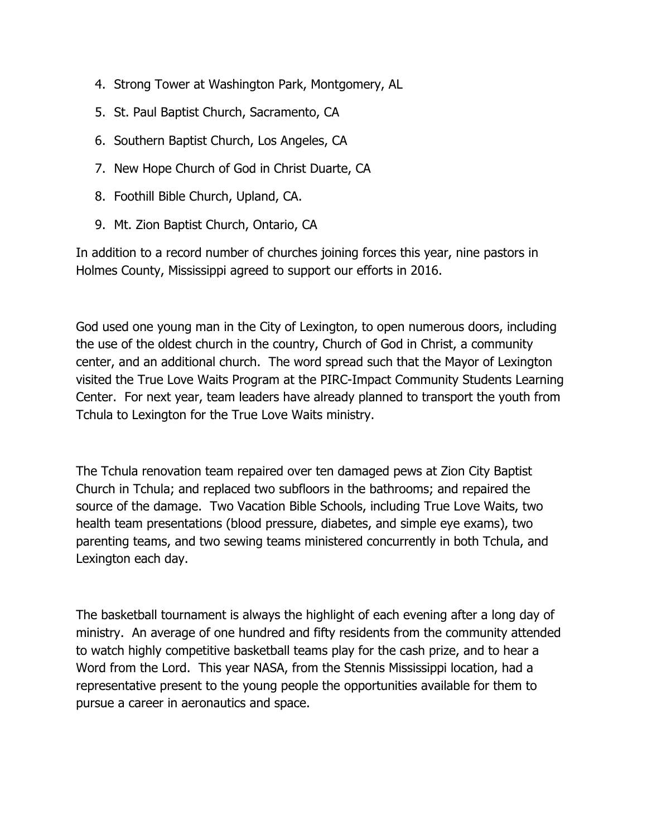- 4. Strong Tower at Washington Park, Montgomery, AL
- 5. St. Paul Baptist Church, Sacramento, CA
- 6. Southern Baptist Church, Los Angeles, CA
- 7. New Hope Church of God in Christ Duarte, CA
- 8. Foothill Bible Church, Upland, CA.
- 9. Mt. Zion Baptist Church, Ontario, CA

In addition to a record number of churches joining forces this year, nine pastors in Holmes County, Mississippi agreed to support our efforts in 2016.

God used one young man in the City of Lexington, to open numerous doors, including the use of the oldest church in the country, Church of God in Christ, a community center, and an additional church. The word spread such that the Mayor of Lexington visited the True Love Waits Program at the PIRC-Impact Community Students Learning Center. For next year, team leaders have already planned to transport the youth from Tchula to Lexington for the True Love Waits ministry.

The Tchula renovation team repaired over ten damaged pews at Zion City Baptist Church in Tchula; and replaced two subfloors in the bathrooms; and repaired the source of the damage. Two Vacation Bible Schools, including True Love Waits, two health team presentations (blood pressure, diabetes, and simple eye exams), two parenting teams, and two sewing teams ministered concurrently in both Tchula, and Lexington each day.

The basketball tournament is always the highlight of each evening after a long day of ministry. An average of one hundred and fifty residents from the community attended to watch highly competitive basketball teams play for the cash prize, and to hear a Word from the Lord. This year NASA, from the Stennis Mississippi location, had a representative present to the young people the opportunities available for them to pursue a career in aeronautics and space.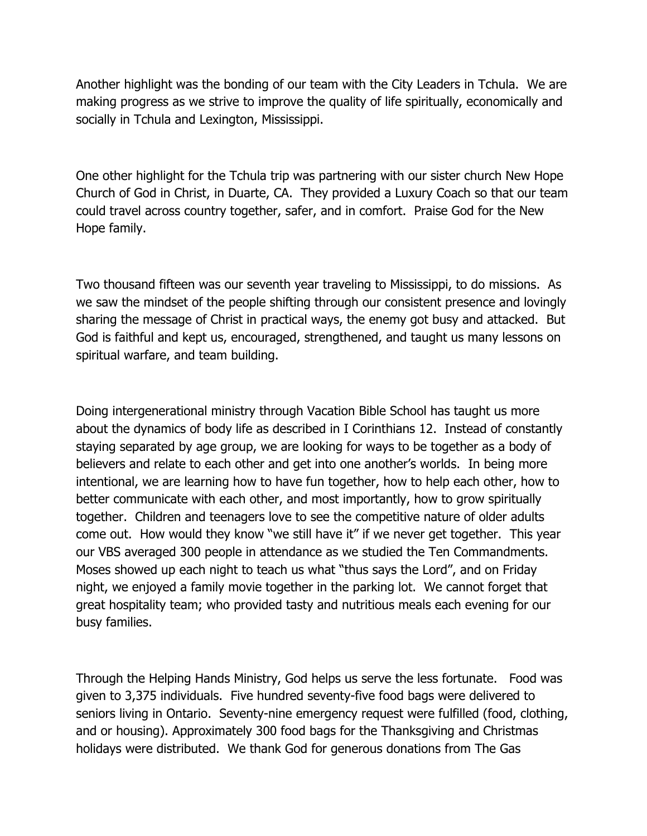Another highlight was the bonding of our team with the City Leaders in Tchula. We are making progress as we strive to improve the quality of life spiritually, economically and socially in Tchula and Lexington, Mississippi.

One other highlight for the Tchula trip was partnering with our sister church New Hope Church of God in Christ, in Duarte, CA. They provided a Luxury Coach so that our team could travel across country together, safer, and in comfort. Praise God for the New Hope family.

Two thousand fifteen was our seventh year traveling to Mississippi, to do missions. As we saw the mindset of the people shifting through our consistent presence and lovingly sharing the message of Christ in practical ways, the enemy got busy and attacked. But God is faithful and kept us, encouraged, strengthened, and taught us many lessons on spiritual warfare, and team building.

Doing intergenerational ministry through Vacation Bible School has taught us more about the dynamics of body life as described in I Corinthians 12. Instead of constantly staying separated by age group, we are looking for ways to be together as a body of believers and relate to each other and get into one another's worlds. In being more intentional, we are learning how to have fun together, how to help each other, how to better communicate with each other, and most importantly, how to grow spiritually together. Children and teenagers love to see the competitive nature of older adults come out. How would they know "we still have it" if we never get together. This year our VBS averaged 300 people in attendance as we studied the Ten Commandments. Moses showed up each night to teach us what "thus says the Lord", and on Friday night, we enjoyed a family movie together in the parking lot. We cannot forget that great hospitality team; who provided tasty and nutritious meals each evening for our busy families.

Through the Helping Hands Ministry, God helps us serve the less fortunate. Food was given to 3,375 individuals. Five hundred seventy-five food bags were delivered to seniors living in Ontario. Seventy-nine emergency request were fulfilled (food, clothing, and or housing). Approximately 300 food bags for the Thanksgiving and Christmas holidays were distributed. We thank God for generous donations from The Gas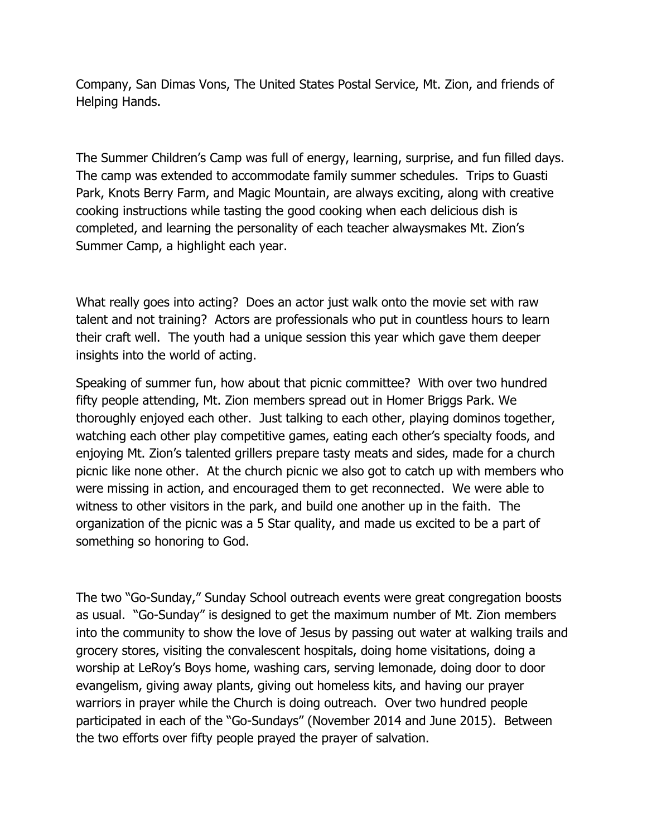Company, San Dimas Vons, The United States Postal Service, Mt. Zion, and friends of Helping Hands.

The Summer Children's Camp was full of energy, learning, surprise, and fun filled days. The camp was extended to accommodate family summer schedules. Trips to Guasti Park, Knots Berry Farm, and Magic Mountain, are always exciting, along with creative cooking instructions while tasting the good cooking when each delicious dish is completed, and learning the personality of each teacher alwaysmakes Mt. Zion's Summer Camp, a highlight each year.

What really goes into acting? Does an actor just walk onto the movie set with raw talent and not training? Actors are professionals who put in countless hours to learn their craft well. The youth had a unique session this year which gave them deeper insights into the world of acting.

Speaking of summer fun, how about that picnic committee? With over two hundred fifty people attending, Mt. Zion members spread out in Homer Briggs Park. We thoroughly enjoyed each other. Just talking to each other, playing dominos together, watching each other play competitive games, eating each other's specialty foods, and enjoying Mt. Zion's talented grillers prepare tasty meats and sides, made for a church picnic like none other. At the church picnic we also got to catch up with members who were missing in action, and encouraged them to get reconnected. We were able to witness to other visitors in the park, and build one another up in the faith. The organization of the picnic was a 5 Star quality, and made us excited to be a part of something so honoring to God.

The two "Go-Sunday," Sunday School outreach events were great congregation boosts as usual. "Go-Sunday" is designed to get the maximum number of Mt. Zion members into the community to show the love of Jesus by passing out water at walking trails and grocery stores, visiting the convalescent hospitals, doing home visitations, doing a worship at LeRoy's Boys home, washing cars, serving lemonade, doing door to door evangelism, giving away plants, giving out homeless kits, and having our prayer warriors in prayer while the Church is doing outreach. Over two hundred people participated in each of the "Go-Sundays" (November 2014 and June 2015). Between the two efforts over fifty people prayed the prayer of salvation.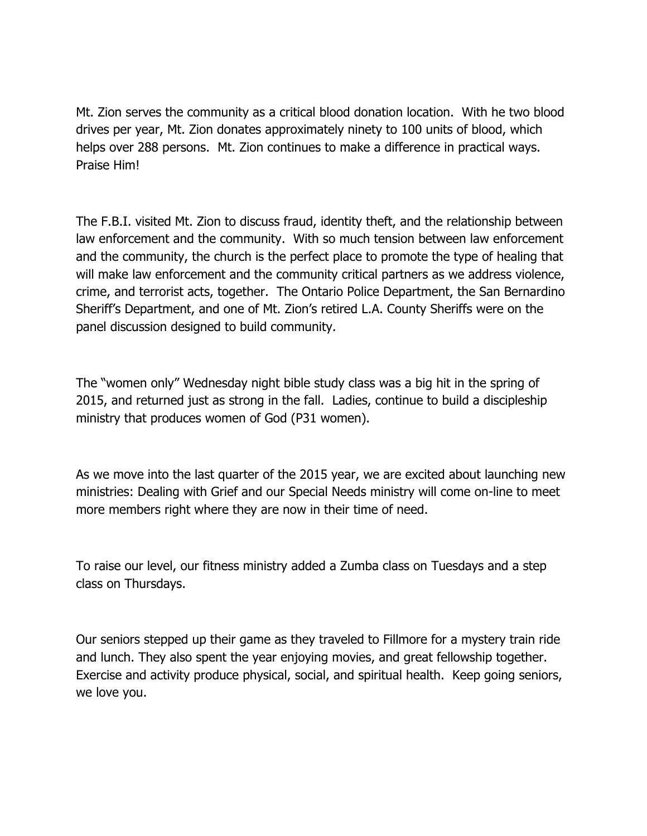Mt. Zion serves the community as a critical blood donation location. With he two blood drives per year, Mt. Zion donates approximately ninety to 100 units of blood, which helps over 288 persons. Mt. Zion continues to make a difference in practical ways. Praise Him!

The F.B.I. visited Mt. Zion to discuss fraud, identity theft, and the relationship between law enforcement and the community. With so much tension between law enforcement and the community, the church is the perfect place to promote the type of healing that will make law enforcement and the community critical partners as we address violence, crime, and terrorist acts, together. The Ontario Police Department, the San Bernardino Sheriff's Department, and one of Mt. Zion's retired L.A. County Sheriffs were on the panel discussion designed to build community.

The "women only" Wednesday night bible study class was a big hit in the spring of 2015, and returned just as strong in the fall. Ladies, continue to build a discipleship ministry that produces women of God (P31 women).

As we move into the last quarter of the 2015 year, we are excited about launching new ministries: Dealing with Grief and our Special Needs ministry will come on-line to meet more members right where they are now in their time of need.

To raise our level, our fitness ministry added a Zumba class on Tuesdays and a step class on Thursdays.

Our seniors stepped up their game as they traveled to Fillmore for a mystery train ride and lunch. They also spent the year enjoying movies, and great fellowship together. Exercise and activity produce physical, social, and spiritual health. Keep going seniors, we love you.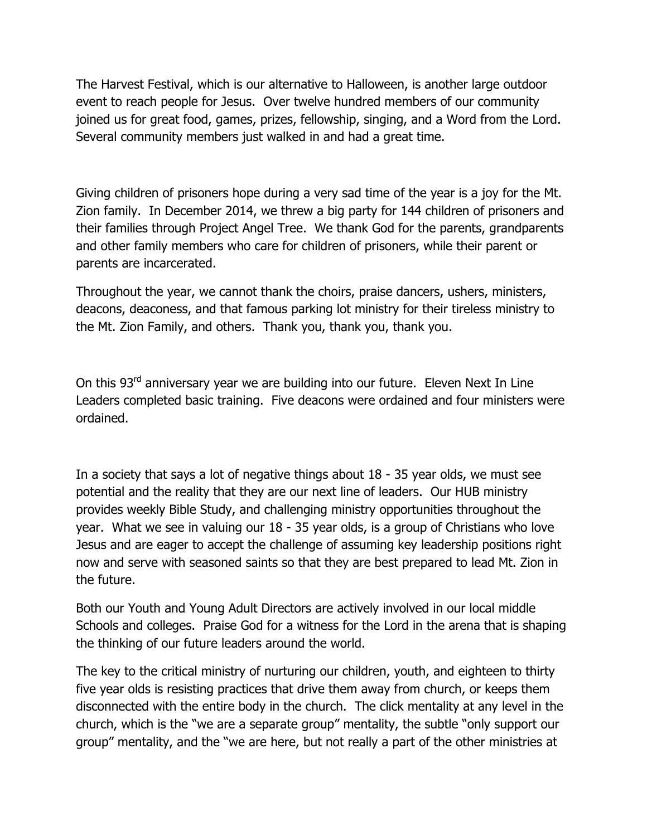The Harvest Festival, which is our alternative to Halloween, is another large outdoor event to reach people for Jesus. Over twelve hundred members of our community joined us for great food, games, prizes, fellowship, singing, and a Word from the Lord. Several community members just walked in and had a great time.

Giving children of prisoners hope during a very sad time of the year is a joy for the Mt. Zion family. In December 2014, we threw a big party for 144 children of prisoners and their families through Project Angel Tree. We thank God for the parents, grandparents and other family members who care for children of prisoners, while their parent or parents are incarcerated.

Throughout the year, we cannot thank the choirs, praise dancers, ushers, ministers, deacons, deaconess, and that famous parking lot ministry for their tireless ministry to the Mt. Zion Family, and others. Thank you, thank you, thank you.

On this 93<sup>rd</sup> anniversary year we are building into our future. Eleven Next In Line Leaders completed basic training. Five deacons were ordained and four ministers were ordained.

In a society that says a lot of negative things about 18 - 35 year olds, we must see potential and the reality that they are our next line of leaders. Our HUB ministry provides weekly Bible Study, and challenging ministry opportunities throughout the year. What we see in valuing our 18 - 35 year olds, is a group of Christians who love Jesus and are eager to accept the challenge of assuming key leadership positions right now and serve with seasoned saints so that they are best prepared to lead Mt. Zion in the future.

Both our Youth and Young Adult Directors are actively involved in our local middle Schools and colleges. Praise God for a witness for the Lord in the arena that is shaping the thinking of our future leaders around the world.

The key to the critical ministry of nurturing our children, youth, and eighteen to thirty five year olds is resisting practices that drive them away from church, or keeps them disconnected with the entire body in the church. The click mentality at any level in the church, which is the "we are a separate group" mentality, the subtle "only support our group" mentality, and the "we are here, but not really a part of the other ministries at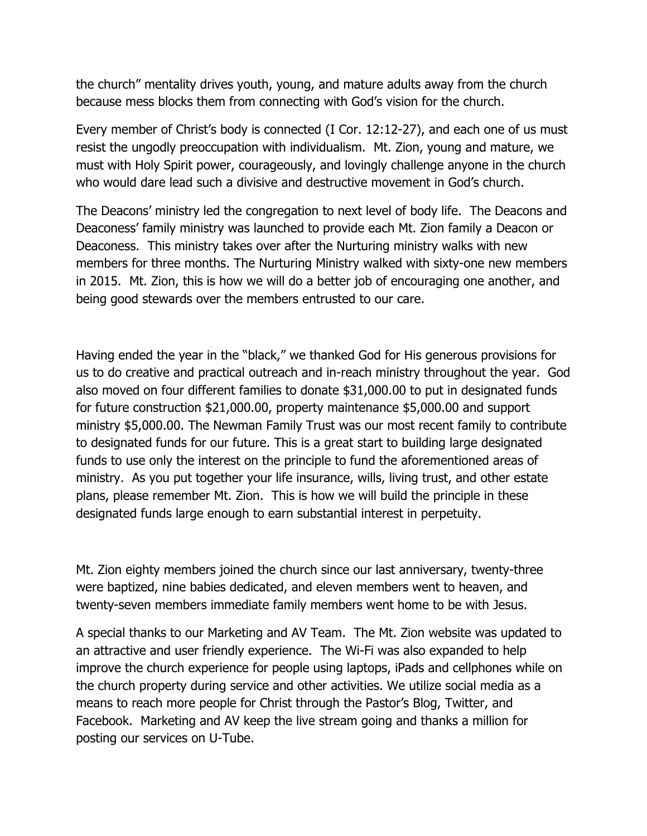the church" mentality drives youth, young, and mature adults away from the church because mess blocks them from connecting with God's vision for the church.

Every member of Christ's body is connected (I Cor. 12:12-27), and each one of us must resist the ungodly preoccupation with individualism. Mt. Zion, young and mature, we must with Holy Spirit power, courageously, and lovingly challenge anyone in the church who would dare lead such a divisive and destructive movement in God's church.

The Deacons' ministry led the congregation to next level of body life. The Deacons and Deaconess' family ministry was launched to provide each Mt. Zion family a Deacon or Deaconess. This ministry takes over after the Nurturing ministry walks with new members for three months. The Nurturing Ministry walked with sixty-one new members in 2015. Mt. Zion, this is how we will do a better job of encouraging one another, and being good stewards over the members entrusted to our care.

Having ended the year in the "black," we thanked God for His generous provisions for us to do creative and practical outreach and in-reach ministry throughout the year. God also moved on four different families to donate \$31,000.00 to put in designated funds for future construction \$21,000.00, property maintenance \$5,000.00 and support ministry \$5,000.00. The Newman Family Trust was our most recent family to contribute to designated funds for our future. This is a great start to building large designated funds to use only the interest on the principle to fund the aforementioned areas of ministry. As you put together your life insurance, wills, living trust, and other estate plans, please remember Mt. Zion. This is how we will build the principle in these designated funds large enough to earn substantial interest in perpetuity.

Mt. Zion eighty members joined the church since our last anniversary, twenty-three were baptized, nine babies dedicated, and eleven members went to heaven, and twenty-seven members immediate family members went home to be with Jesus.

A special thanks to our Marketing and AV Team. The Mt. Zion website was updated to an attractive and user friendly experience. The Wi-Fi was also expanded to help improve the church experience for people using laptops, iPads and cellphones while on the church property during service and other activities. We utilize social media as a means to reach more people for Christ through the Pastor's Blog, Twitter, and Facebook. Marketing and AV keep the live stream going and thanks a million for posting our services on U-Tube.